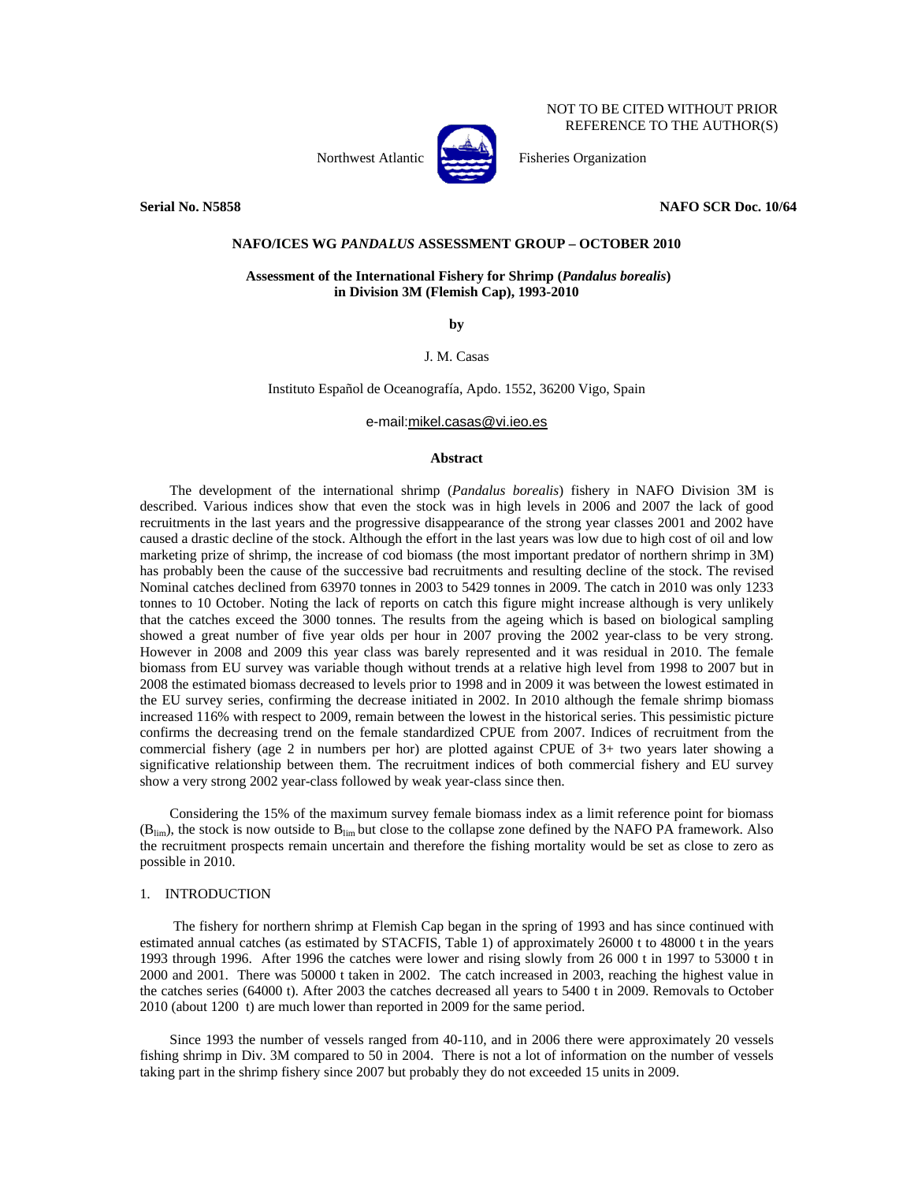NOT TO BE CITED WITHOUT PRIOR REFERENCE TO THE AUTHOR(S)

Northwest Atlantic Fisheries Organization

**Serial No. N5858** NAFO SCR Doc. 10/64

# **NAFO/ICES WG** *PANDALUS* **ASSESSMENT GROUP – OCTOBER 2010**

### **Assessment of the International Fishery for Shrimp (***Pandalus borealis***) in Division 3M (Flemish Cap), 1993-2010**

**by** 

J. M. Casas

Instituto Español de Oceanografía, Apdo. 1552, 36200 Vigo, Spain

e-mail:mikel.casas@vi.ieo.es

# **Abstract**

The development of the international shrimp (*Pandalus borealis*) fishery in NAFO Division 3M is described. Various indices show that even the stock was in high levels in 2006 and 2007 the lack of good recruitments in the last years and the progressive disappearance of the strong year classes 2001 and 2002 have caused a drastic decline of the stock. Although the effort in the last years was low due to high cost of oil and low marketing prize of shrimp, the increase of cod biomass (the most important predator of northern shrimp in 3M) has probably been the cause of the successive bad recruitments and resulting decline of the stock. The revised Nominal catches declined from 63970 tonnes in 2003 to 5429 tonnes in 2009. The catch in 2010 was only 1233 tonnes to 10 October. Noting the lack of reports on catch this figure might increase although is very unlikely that the catches exceed the 3000 tonnes. The results from the ageing which is based on biological sampling showed a great number of five year olds per hour in 2007 proving the 2002 year-class to be very strong. However in 2008 and 2009 this year class was barely represented and it was residual in 2010. The female biomass from EU survey was variable though without trends at a relative high level from 1998 to 2007 but in 2008 the estimated biomass decreased to levels prior to 1998 and in 2009 it was between the lowest estimated in the EU survey series, confirming the decrease initiated in 2002. In 2010 although the female shrimp biomass increased 116% with respect to 2009, remain between the lowest in the historical series. This pessimistic picture confirms the decreasing trend on the female standardized CPUE from 2007. Indices of recruitment from the commercial fishery (age 2 in numbers per hor) are plotted against CPUE of 3+ two years later showing a significative relationship between them. The recruitment indices of both commercial fishery and EU survey show a very strong 2002 year-class followed by weak year-class since then.

Considering the 15% of the maximum survey female biomass index as a limit reference point for biomass  $(B_{lim})$ , the stock is now outside to  $B_{lim}$  but close to the collapse zone defined by the NAFO PA framework. Also the recruitment prospects remain uncertain and therefore the fishing mortality would be set as close to zero as possible in 2010.

### 1. INTRODUCTION

 The fishery for northern shrimp at Flemish Cap began in the spring of 1993 and has since continued with estimated annual catches (as estimated by STACFIS, Table 1) of approximately 26000 t to 48000 t in the years 1993 through 1996. After 1996 the catches were lower and rising slowly from 26 000 t in 1997 to 53000 t in 2000 and 2001. There was 50000 t taken in 2002. The catch increased in 2003, reaching the highest value in the catches series (64000 t). After 2003 the catches decreased all years to 5400 t in 2009. Removals to October 2010 (about 1200 t) are much lower than reported in 2009 for the same period.

Since 1993 the number of vessels ranged from 40-110, and in 2006 there were approximately 20 vessels fishing shrimp in Div. 3M compared to 50 in 2004. There is not a lot of information on the number of vessels taking part in the shrimp fishery since 2007 but probably they do not exceeded 15 units in 2009.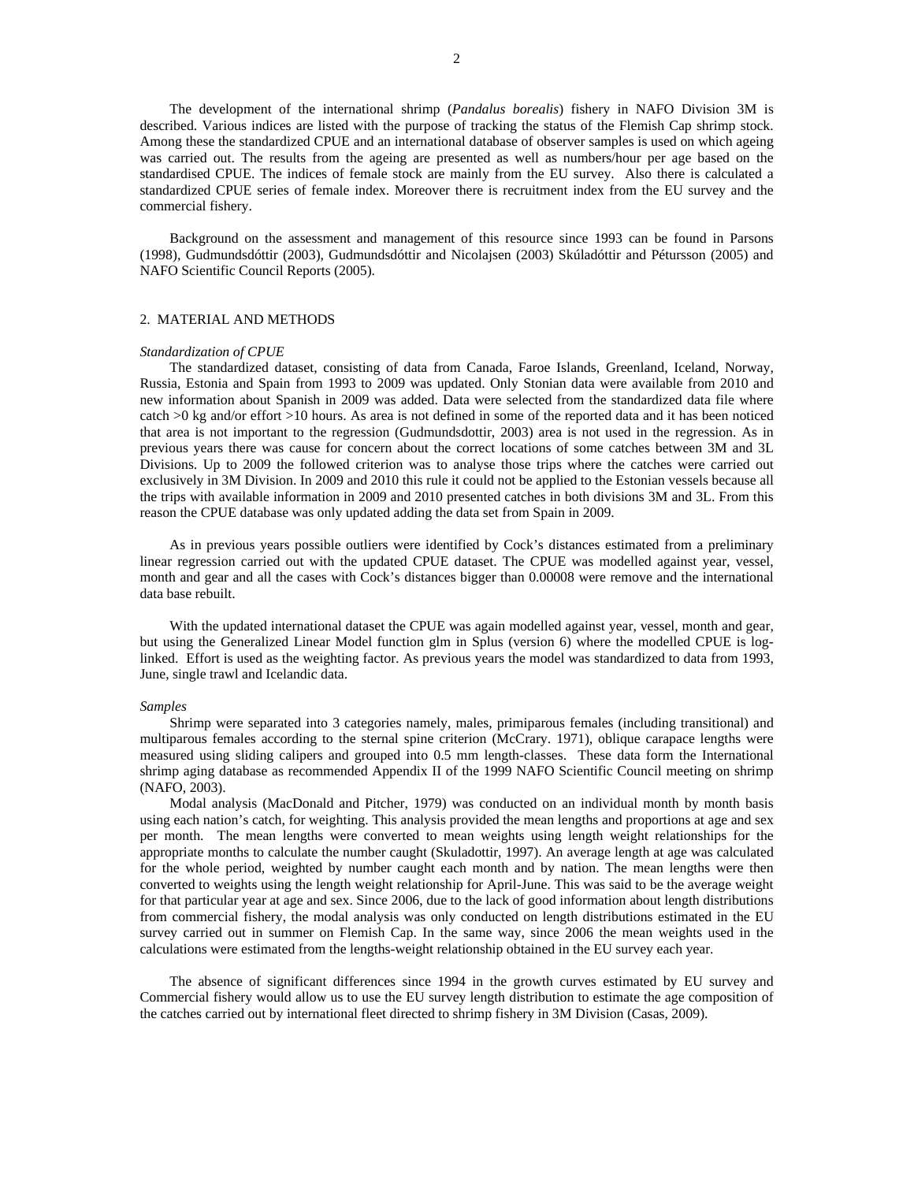The development of the international shrimp (*Pandalus borealis*) fishery in NAFO Division 3M is described. Various indices are listed with the purpose of tracking the status of the Flemish Cap shrimp stock. Among these the standardized CPUE and an international database of observer samples is used on which ageing was carried out. The results from the ageing are presented as well as numbers/hour per age based on the standardised CPUE. The indices of female stock are mainly from the EU survey. Also there is calculated a standardized CPUE series of female index. Moreover there is recruitment index from the EU survey and the commercial fishery.

Background on the assessment and management of this resource since 1993 can be found in Parsons (1998), Gudmundsdóttir (2003), Gudmundsdóttir and Nicolajsen (2003) Skúladóttir and Pétursson (2005) and NAFO Scientific Council Reports (2005).

#### 2. MATERIAL AND METHODS

#### *Standardization of CPUE*

The standardized dataset, consisting of data from Canada, Faroe Islands, Greenland, Iceland, Norway, Russia, Estonia and Spain from 1993 to 2009 was updated. Only Stonian data were available from 2010 and new information about Spanish in 2009 was added. Data were selected from the standardized data file where catch >0 kg and/or effort >10 hours. As area is not defined in some of the reported data and it has been noticed that area is not important to the regression (Gudmundsdottir, 2003) area is not used in the regression. As in previous years there was cause for concern about the correct locations of some catches between 3M and 3L Divisions. Up to 2009 the followed criterion was to analyse those trips where the catches were carried out exclusively in 3M Division. In 2009 and 2010 this rule it could not be applied to the Estonian vessels because all the trips with available information in 2009 and 2010 presented catches in both divisions 3M and 3L. From this reason the CPUE database was only updated adding the data set from Spain in 2009.

As in previous years possible outliers were identified by Cock's distances estimated from a preliminary linear regression carried out with the updated CPUE dataset. The CPUE was modelled against year, vessel, month and gear and all the cases with Cock's distances bigger than 0.00008 were remove and the international data base rebuilt.

With the updated international dataset the CPUE was again modelled against year, vessel, month and gear, but using the Generalized Linear Model function glm in Splus (version 6) where the modelled CPUE is loglinked. Effort is used as the weighting factor. As previous years the model was standardized to data from 1993, June, single trawl and Icelandic data.

### *Samples*

Shrimp were separated into 3 categories namely, males, primiparous females (including transitional) and multiparous females according to the sternal spine criterion (McCrary. 1971), oblique carapace lengths were measured using sliding calipers and grouped into 0.5 mm length-classes. These data form the International shrimp aging database as recommended Appendix II of the 1999 NAFO Scientific Council meeting on shrimp (NAFO, 2003).

Modal analysis (MacDonald and Pitcher, 1979) was conducted on an individual month by month basis using each nation's catch, for weighting. This analysis provided the mean lengths and proportions at age and sex per month. The mean lengths were converted to mean weights using length weight relationships for the appropriate months to calculate the number caught (Skuladottir, 1997). An average length at age was calculated for the whole period, weighted by number caught each month and by nation. The mean lengths were then converted to weights using the length weight relationship for April-June. This was said to be the average weight for that particular year at age and sex. Since 2006, due to the lack of good information about length distributions from commercial fishery, the modal analysis was only conducted on length distributions estimated in the EU survey carried out in summer on Flemish Cap. In the same way, since 2006 the mean weights used in the calculations were estimated from the lengths-weight relationship obtained in the EU survey each year.

The absence of significant differences since 1994 in the growth curves estimated by EU survey and Commercial fishery would allow us to use the EU survey length distribution to estimate the age composition of the catches carried out by international fleet directed to shrimp fishery in 3M Division (Casas, 2009).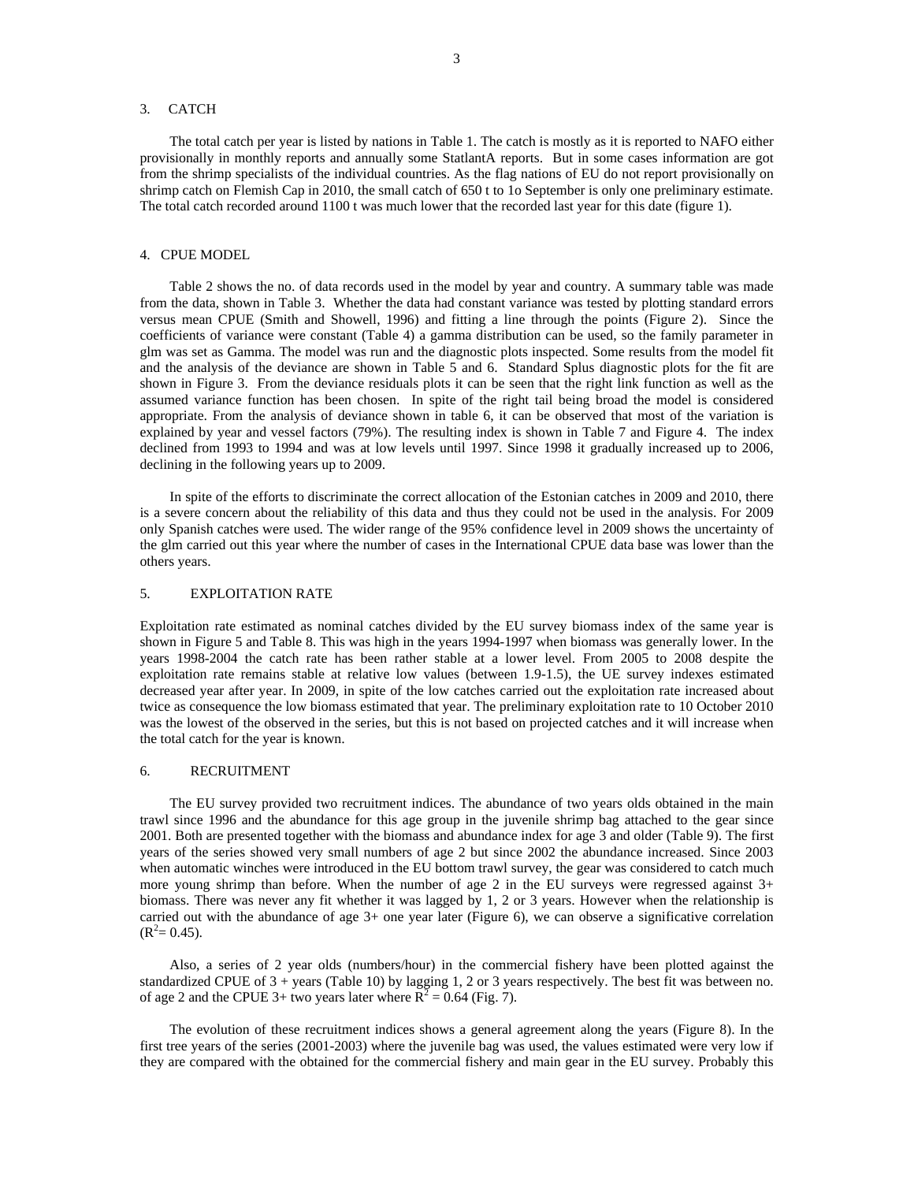### 3. CATCH

The total catch per year is listed by nations in Table 1. The catch is mostly as it is reported to NAFO either provisionally in monthly reports and annually some StatlantA reports. But in some cases information are got from the shrimp specialists of the individual countries. As the flag nations of EU do not report provisionally on shrimp catch on Flemish Cap in 2010, the small catch of 650 t to 1o September is only one preliminary estimate. The total catch recorded around 1100 t was much lower that the recorded last year for this date (figure 1).

### 4. CPUE MODEL

Table 2 shows the no. of data records used in the model by year and country. A summary table was made from the data, shown in Table 3. Whether the data had constant variance was tested by plotting standard errors versus mean CPUE (Smith and Showell, 1996) and fitting a line through the points (Figure 2). Since the coefficients of variance were constant (Table 4) a gamma distribution can be used, so the family parameter in glm was set as Gamma. The model was run and the diagnostic plots inspected. Some results from the model fit and the analysis of the deviance are shown in Table 5 and 6. Standard Splus diagnostic plots for the fit are shown in Figure 3. From the deviance residuals plots it can be seen that the right link function as well as the assumed variance function has been chosen. In spite of the right tail being broad the model is considered appropriate. From the analysis of deviance shown in table 6, it can be observed that most of the variation is explained by year and vessel factors (79%). The resulting index is shown in Table 7 and Figure 4. The index declined from 1993 to 1994 and was at low levels until 1997. Since 1998 it gradually increased up to 2006, declining in the following years up to 2009.

In spite of the efforts to discriminate the correct allocation of the Estonian catches in 2009 and 2010, there is a severe concern about the reliability of this data and thus they could not be used in the analysis. For 2009 only Spanish catches were used. The wider range of the 95% confidence level in 2009 shows the uncertainty of the glm carried out this year where the number of cases in the International CPUE data base was lower than the others years.

### 5. EXPLOITATION RATE

Exploitation rate estimated as nominal catches divided by the EU survey biomass index of the same year is shown in Figure 5 and Table 8. This was high in the years 1994-1997 when biomass was generally lower. In the years 1998-2004 the catch rate has been rather stable at a lower level. From 2005 to 2008 despite the exploitation rate remains stable at relative low values (between 1.9-1.5), the UE survey indexes estimated decreased year after year. In 2009, in spite of the low catches carried out the exploitation rate increased about twice as consequence the low biomass estimated that year. The preliminary exploitation rate to 10 October 2010 was the lowest of the observed in the series, but this is not based on projected catches and it will increase when the total catch for the year is known.

# 6. RECRUITMENT

The EU survey provided two recruitment indices. The abundance of two years olds obtained in the main trawl since 1996 and the abundance for this age group in the juvenile shrimp bag attached to the gear since 2001. Both are presented together with the biomass and abundance index for age 3 and older (Table 9). The first years of the series showed very small numbers of age 2 but since 2002 the abundance increased. Since 2003 when automatic winches were introduced in the EU bottom trawl survey, the gear was considered to catch much more young shrimp than before. When the number of age 2 in the EU surveys were regressed against 3+ biomass. There was never any fit whether it was lagged by 1, 2 or 3 years. However when the relationship is carried out with the abundance of age 3+ one year later (Figure 6), we can observe a significative correlation  $(R^2 = 0.45)$ .

Also, a series of 2 year olds (numbers/hour) in the commercial fishery have been plotted against the standardized CPUE of 3 + years (Table 10) by lagging 1, 2 or 3 years respectively. The best fit was between no. of age 2 and the CPUE 3+ two years later where  $\overline{R}^2 = 0.64$  (Fig. 7).

The evolution of these recruitment indices shows a general agreement along the years (Figure 8). In the first tree years of the series (2001-2003) where the juvenile bag was used, the values estimated were very low if they are compared with the obtained for the commercial fishery and main gear in the EU survey. Probably this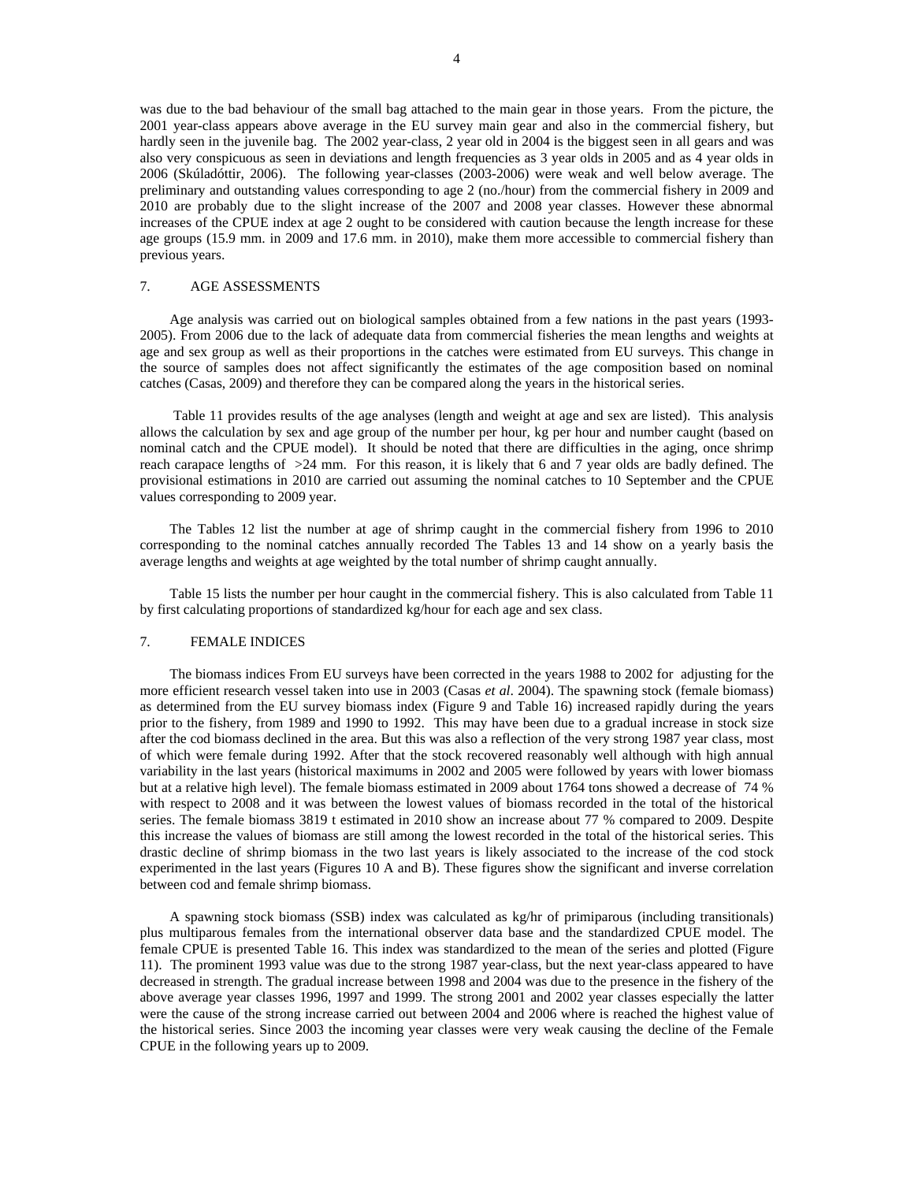was due to the bad behaviour of the small bag attached to the main gear in those years. From the picture, the 2001 year-class appears above average in the EU survey main gear and also in the commercial fishery, but hardly seen in the juvenile bag. The 2002 year-class, 2 year old in 2004 is the biggest seen in all gears and was also very conspicuous as seen in deviations and length frequencies as 3 year olds in 2005 and as 4 year olds in 2006 (Skúladóttir, 2006). The following year-classes (2003-2006) were weak and well below average. The preliminary and outstanding values corresponding to age 2 (no./hour) from the commercial fishery in 2009 and 2010 are probably due to the slight increase of the 2007 and 2008 year classes. However these abnormal increases of the CPUE index at age 2 ought to be considered with caution because the length increase for these age groups (15.9 mm. in 2009 and 17.6 mm. in 2010), make them more accessible to commercial fishery than previous years.

#### 7. AGE ASSESSMENTS

Age analysis was carried out on biological samples obtained from a few nations in the past years (1993- 2005). From 2006 due to the lack of adequate data from commercial fisheries the mean lengths and weights at age and sex group as well as their proportions in the catches were estimated from EU surveys. This change in the source of samples does not affect significantly the estimates of the age composition based on nominal catches (Casas, 2009) and therefore they can be compared along the years in the historical series.

 Table 11 provides results of the age analyses (length and weight at age and sex are listed). This analysis allows the calculation by sex and age group of the number per hour, kg per hour and number caught (based on nominal catch and the CPUE model). It should be noted that there are difficulties in the aging, once shrimp reach carapace lengths of >24 mm. For this reason, it is likely that 6 and 7 year olds are badly defined. The provisional estimations in 2010 are carried out assuming the nominal catches to 10 September and the CPUE values corresponding to 2009 year.

The Tables 12 list the number at age of shrimp caught in the commercial fishery from 1996 to 2010 corresponding to the nominal catches annually recorded The Tables 13 and 14 show on a yearly basis the average lengths and weights at age weighted by the total number of shrimp caught annually.

Table 15 lists the number per hour caught in the commercial fishery. This is also calculated from Table 11 by first calculating proportions of standardized kg/hour for each age and sex class.

### 7. FEMALE INDICES

The biomass indices From EU surveys have been corrected in the years 1988 to 2002 for adjusting for the more efficient research vessel taken into use in 2003 (Casas *et al*. 2004). The spawning stock (female biomass) as determined from the EU survey biomass index (Figure 9 and Table 16) increased rapidly during the years prior to the fishery, from 1989 and 1990 to 1992. This may have been due to a gradual increase in stock size after the cod biomass declined in the area. But this was also a reflection of the very strong 1987 year class, most of which were female during 1992. After that the stock recovered reasonably well although with high annual variability in the last years (historical maximums in 2002 and 2005 were followed by years with lower biomass but at a relative high level). The female biomass estimated in 2009 about 1764 tons showed a decrease of 74 % with respect to 2008 and it was between the lowest values of biomass recorded in the total of the historical series. The female biomass 3819 t estimated in 2010 show an increase about 77 % compared to 2009. Despite this increase the values of biomass are still among the lowest recorded in the total of the historical series. This drastic decline of shrimp biomass in the two last years is likely associated to the increase of the cod stock experimented in the last years (Figures 10 A and B). These figures show the significant and inverse correlation between cod and female shrimp biomass.

A spawning stock biomass (SSB) index was calculated as kg/hr of primiparous (including transitionals) plus multiparous females from the international observer data base and the standardized CPUE model. The female CPUE is presented Table 16. This index was standardized to the mean of the series and plotted (Figure 11). The prominent 1993 value was due to the strong 1987 year-class, but the next year-class appeared to have decreased in strength. The gradual increase between 1998 and 2004 was due to the presence in the fishery of the above average year classes 1996, 1997 and 1999. The strong 2001 and 2002 year classes especially the latter were the cause of the strong increase carried out between 2004 and 2006 where is reached the highest value of the historical series. Since 2003 the incoming year classes were very weak causing the decline of the Female CPUE in the following years up to 2009.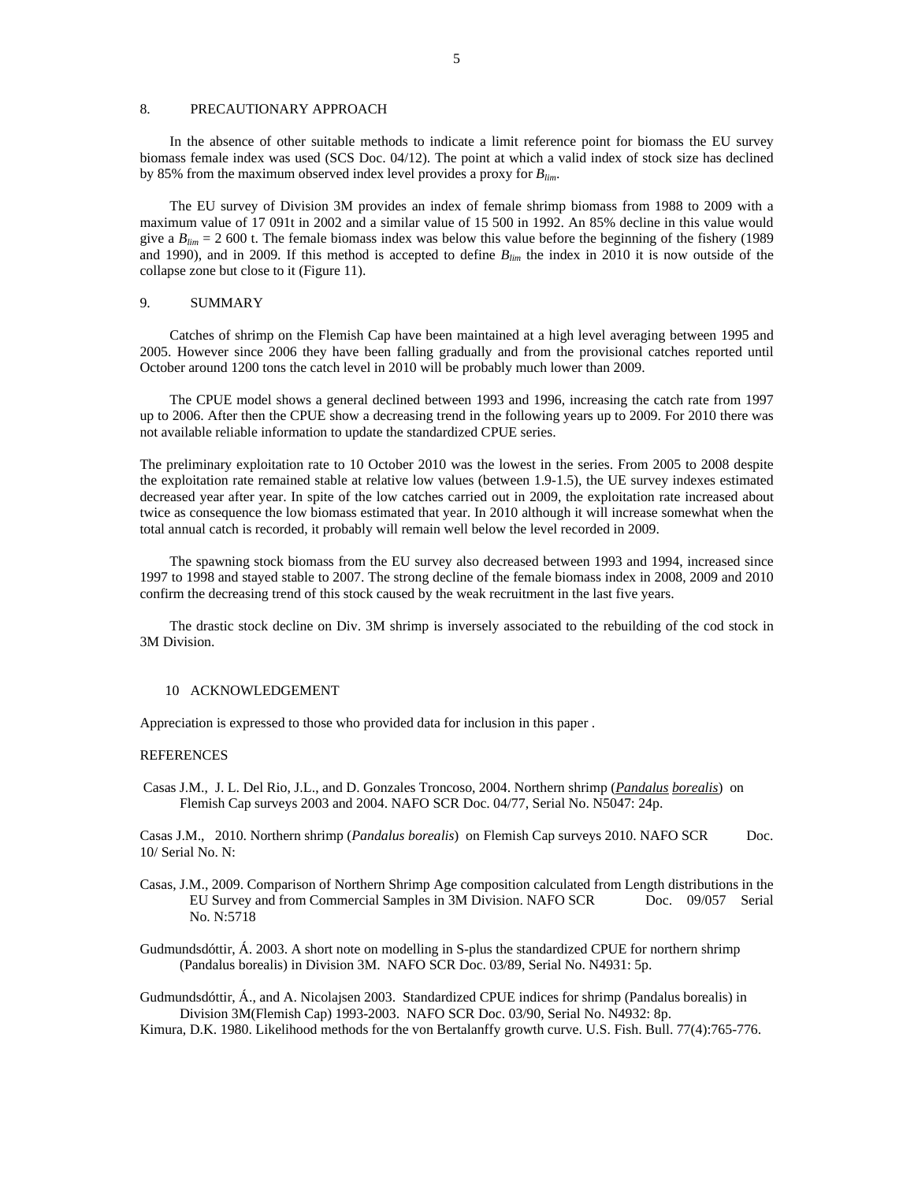### 8. PRECAUTIONARY APPROACH

In the absence of other suitable methods to indicate a limit reference point for biomass the EU survey biomass female index was used (SCS Doc. 04/12). The point at which a valid index of stock size has declined by 85% from the maximum observed index level provides a proxy for *Blim*.

The EU survey of Division 3M provides an index of female shrimp biomass from 1988 to 2009 with a maximum value of 17 091t in 2002 and a similar value of 15 500 in 1992. An 85% decline in this value would give a *Blim* = 2 600 t. The female biomass index was below this value before the beginning of the fishery (1989 and 1990), and in 2009. If this method is accepted to define *Blim* the index in 2010 it is now outside of the collapse zone but close to it (Figure 11).

### 9. SUMMARY

Catches of shrimp on the Flemish Cap have been maintained at a high level averaging between 1995 and 2005. However since 2006 they have been falling gradually and from the provisional catches reported until October around 1200 tons the catch level in 2010 will be probably much lower than 2009.

The CPUE model shows a general declined between 1993 and 1996, increasing the catch rate from 1997 up to 2006. After then the CPUE show a decreasing trend in the following years up to 2009. For 2010 there was not available reliable information to update the standardized CPUE series.

The preliminary exploitation rate to 10 October 2010 was the lowest in the series. From 2005 to 2008 despite the exploitation rate remained stable at relative low values (between 1.9-1.5), the UE survey indexes estimated decreased year after year. In spite of the low catches carried out in 2009, the exploitation rate increased about twice as consequence the low biomass estimated that year. In 2010 although it will increase somewhat when the total annual catch is recorded, it probably will remain well below the level recorded in 2009.

The spawning stock biomass from the EU survey also decreased between 1993 and 1994, increased since 1997 to 1998 and stayed stable to 2007. The strong decline of the female biomass index in 2008, 2009 and 2010 confirm the decreasing trend of this stock caused by the weak recruitment in the last five years.

The drastic stock decline on Div. 3M shrimp is inversely associated to the rebuilding of the cod stock in 3M Division.

### 10 ACKNOWLEDGEMENT

Appreciation is expressed to those who provided data for inclusion in this paper .

#### **REFERENCES**

 Casas J.M., J. L. Del Rio, J.L., and D. Gonzales Troncoso, 2004. Northern shrimp (*Pandalus borealis*) on Flemish Cap surveys 2003 and 2004. NAFO SCR Doc. 04/77, Serial No. N5047: 24p.

Casas J.M., 2010. Northern shrimp (*Pandalus borealis*) on Flemish Cap surveys 2010. NAFO SCR Doc. 10/ Serial No. N:

Casas, J.M., 2009. Comparison of Northern Shrimp Age composition calculated from Length distributions in the EU Survey and from Commercial Samples in 3M Division. NAFO SCR Doc. 09/057 Serial No. N:5718

Gudmundsdóttir, Á. 2003. A short note on modelling in S-plus the standardized CPUE for northern shrimp (Pandalus borealis) in Division 3M. NAFO SCR Doc. 03/89, Serial No. N4931: 5p.

Gudmundsdóttir, Á., and A. Nicolajsen 2003. Standardized CPUE indices for shrimp (Pandalus borealis) in Division 3M(Flemish Cap) 1993-2003. NAFO SCR Doc. 03/90, Serial No. N4932: 8p.

Kimura, D.K. 1980. Likelihood methods for the von Bertalanffy growth curve. U.S. Fish. Bull. 77(4):765-776.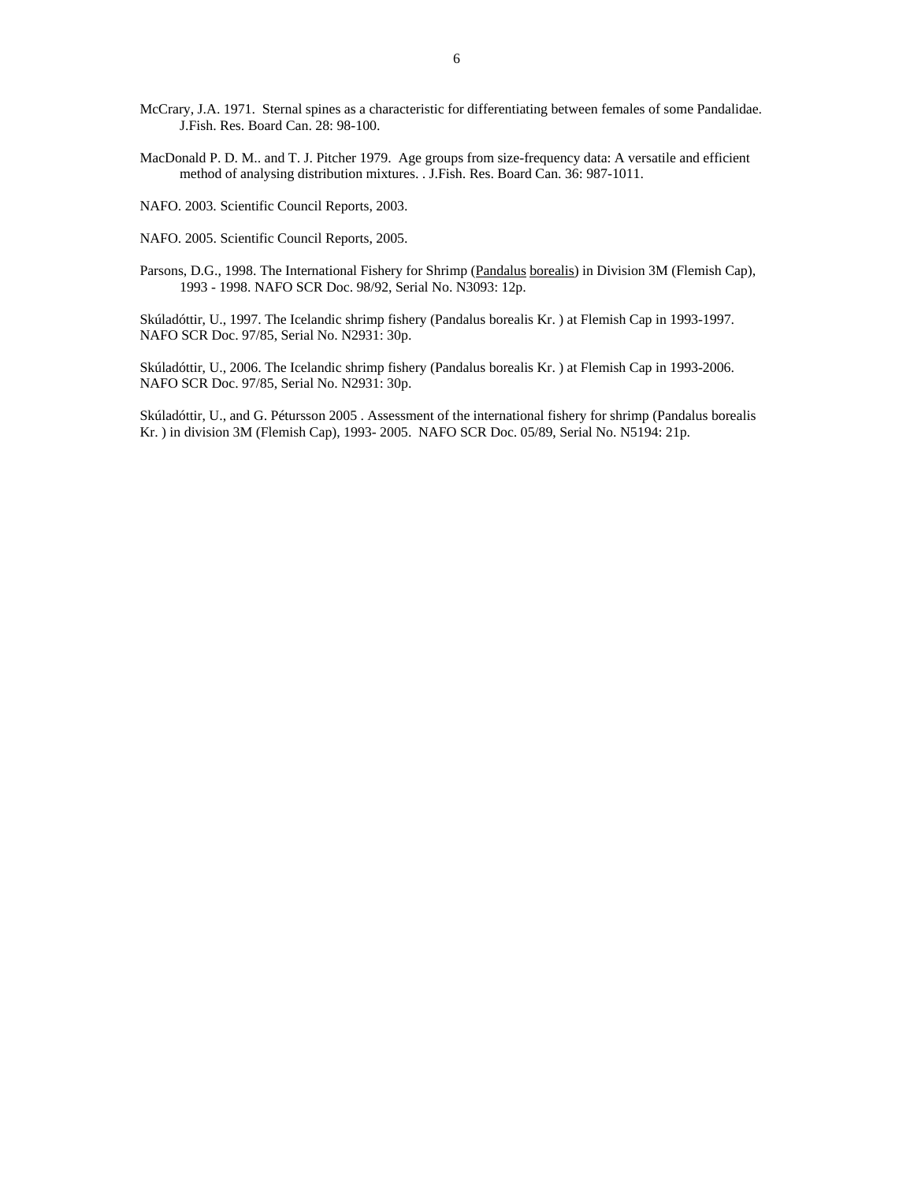- McCrary, J.A. 1971. Sternal spines as a characteristic for differentiating between females of some Pandalidae. J.Fish. Res. Board Can. 28: 98-100.
- MacDonald P. D. M.. and T. J. Pitcher 1979. Age groups from size-frequency data: A versatile and efficient method of analysing distribution mixtures. . J.Fish. Res. Board Can. 36: 987-1011.

NAFO. 2003. Scientific Council Reports, 2003.

NAFO. 2005. Scientific Council Reports, 2005.

Parsons, D.G., 1998. The International Fishery for Shrimp (Pandalus borealis) in Division 3M (Flemish Cap), 1993 - 1998. NAFO SCR Doc. 98/92, Serial No. N3093: 12p.

Skúladóttir, U., 1997. The Icelandic shrimp fishery (Pandalus borealis Kr. ) at Flemish Cap in 1993-1997. NAFO SCR Doc. 97/85, Serial No. N2931: 30p.

Skúladóttir, U., 2006. The Icelandic shrimp fishery (Pandalus borealis Kr. ) at Flemish Cap in 1993-2006. NAFO SCR Doc. 97/85, Serial No. N2931: 30p.

Skúladóttir, U., and G. Pétursson 2005 . Assessment of the international fishery for shrimp (Pandalus borealis Kr. ) in division 3M (Flemish Cap), 1993- 2005. NAFO SCR Doc. 05/89, Serial No. N5194: 21p.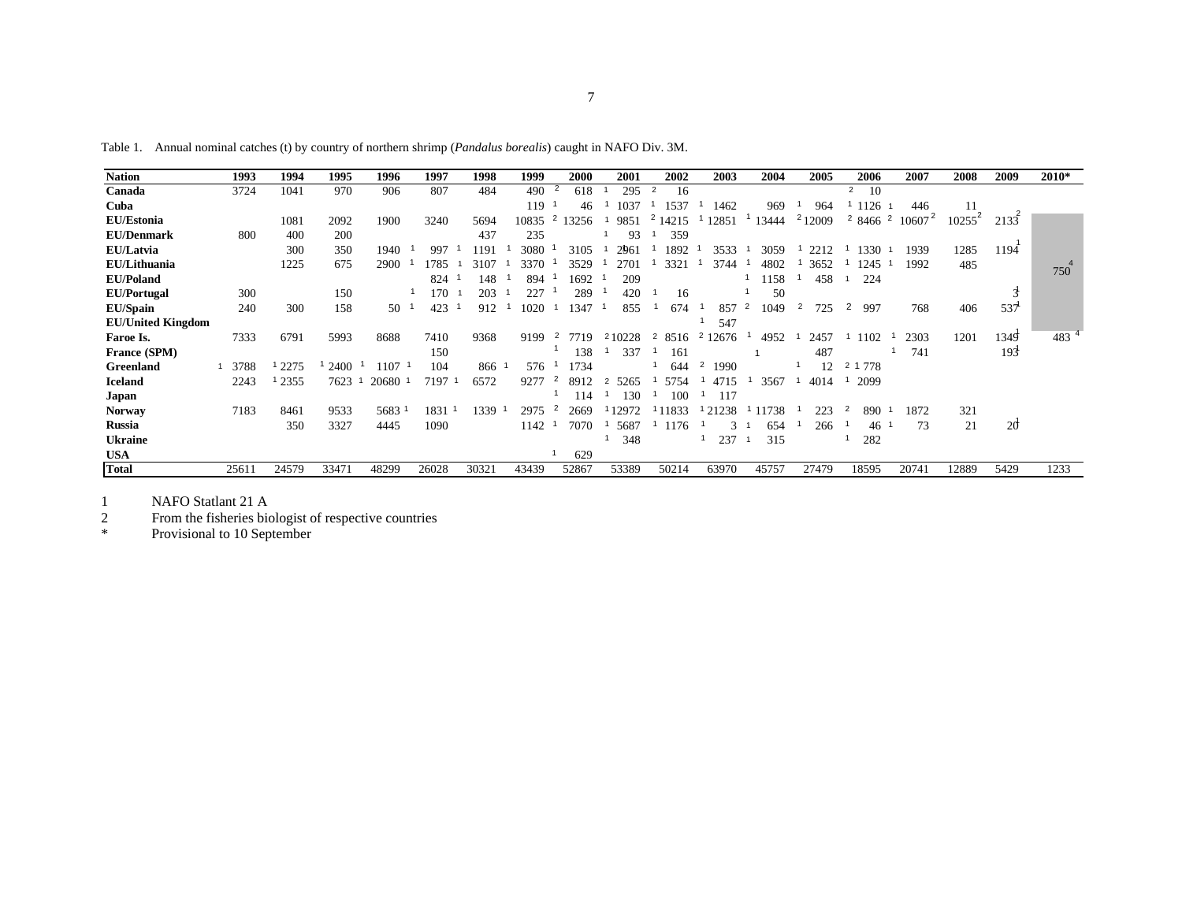| <b>Nation</b>            | 1993  | 1994  | 1995  | 1996  | 1997  | 1998  | 1999  | 2000                    | 2001                   | 2002                 | 2003                   | 2004      | 2005               | 2006                     | 2007      | 2008      | 2009      | 2010* |
|--------------------------|-------|-------|-------|-------|-------|-------|-------|-------------------------|------------------------|----------------------|------------------------|-----------|--------------------|--------------------------|-----------|-----------|-----------|-------|
| Canada                   | 3724  | 1041  | 970   | 906   | 807   | 484   | 490   | -2<br>618               | 295                    | $\overline{2}$<br>16 |                        |           |                    | $\overline{2}$<br>10     |           |           |           |       |
| Cuba                     |       |       |       |       |       |       | 119   | 46                      | 1037                   | 1537                 | 1462                   | 969       | 964                | 1126                     | 446       | 11        |           |       |
| EU/Estonia               |       | 1081  | 2092  | 1900  | 3240  | 5694  | 10835 | $\overline{2}$<br>13256 | 9851                   | $2 -$<br>14215       | 12851                  | 13444     | <sup>2</sup> 12009 | $\overline{2}$<br>2 8466 | $10607^2$ | $10255^2$ | 2135      |       |
| <b>EU/Denmark</b>        | 800   | 400   | 200   |       |       | 437   | 235   |                         | 93                     | 359                  |                        |           |                    |                          |           |           |           |       |
| EU/Latvia                |       | 300   | 350   | 1940  | 997   | 191   | 3080  | 3105                    | 2961                   | 1892                 | 3533                   | 3059      | 2212               | 1330                     | 1939      | 1285      | 1194      |       |
| EU/Lithuania             |       | 1225  | 675   | 2900  | 1785  | 3107  | 3370  | 3529                    | 2701                   | 332                  | 3744                   | 4802      | 3652               | 1245                     | 1992      | 485       |           | 750   |
| <b>EU/Poland</b>         |       |       |       |       | 824   | 148   | 894   | 1692                    | 209                    |                      |                        | 1158      | 458                | 224                      |           |           |           |       |
| <b>EU/Portugal</b>       | 300   |       | 150   |       | 170   | 203   | 227   | 289                     | 420                    | 16                   |                        | 50        |                    |                          |           |           | ۰Ĩ        |       |
| <b>EU/Spain</b>          | 240   | 300   | 158   | 50    | 423   | 912   | 1020  | 1347                    | 855                    | 674                  | 857                    | 2<br>1049 | 2<br>725           | 2<br>997                 | 768       | 406       | 537       |       |
| <b>EU/United Kingdom</b> |       |       |       |       |       |       |       |                         |                        |                      | 547                    |           |                    |                          |           |           |           |       |
| Faroe Is.                | 7333  | 6791  | 5993  | 8688  | 7410  | 9368  | 9199  | 2<br>7719               | 210228                 | 2<br>8516            | 12676<br>2             | 4952      | 2457               | 1102                     | 2303      | 1201      | 1349      | 483   |
| France (SPM)             |       |       |       |       | 150   |       |       | 138                     | 337                    | 161                  |                        |           | 487                |                          | 741       |           | 193       |       |
| Greenland                | 3788  | 2275  | 2400  | 107   | 104   | 866 1 | 576   | 1734                    |                        | 644                  | $\overline{2}$<br>1990 |           | 12                 | 2 1 7 7 8                |           |           |           |       |
| <b>Iceland</b>           | 2243  | 2355  | 7623  | 20680 | 7197  | 6572  | 9277  | 2<br>8912               | 5265<br>$\overline{2}$ | 5754                 | 4715                   | 3567      | 4014               | 2099                     |           |           |           |       |
| Japan                    |       |       |       |       |       |       |       | 114                     | 130                    | 100                  | 117                    |           |                    |                          |           |           |           |       |
| <b>Norway</b>            | 7183  | 8461  | 9533  | 5683  | 1831  | 1339  | 2975  | $\overline{2}$<br>2669  | 12972                  | 1833                 | 21238                  | 1738      | 223                | 890                      | 1872      | 321       |           |       |
| <b>Russia</b>            |       | 350   | 3327  | 4445  | 1090  |       | 1142  | 7070                    | 5687                   | 1176                 | $\mathcal{E}$          | 654       | 266                | 46                       | 73        | 21        | <b>20</b> |       |
| Ukraine                  |       |       |       |       |       |       |       |                         | 348                    |                      | 237                    | 315       |                    | 282                      |           |           |           |       |
| <b>USA</b>               |       |       |       |       |       |       |       | 629                     |                        |                      |                        |           |                    |                          |           |           |           |       |
| <b>Total</b>             | 25611 | 24579 | 33471 | 48299 | 26028 | 30321 | 43439 | 52867                   | 53389                  | 50214                | 63970                  | 45757     | 27479              | 18595                    | 20741     | 12889     | 5429      | 1233  |

Table 1. Annual nominal catches (t) by country of northern shrimp (*Pandalus borealis*) caught in NAFO Div. 3M.

1 NAFO Statlant 21 A 2 From the fisheries biologist of respective countries

\* Provisional to 10 September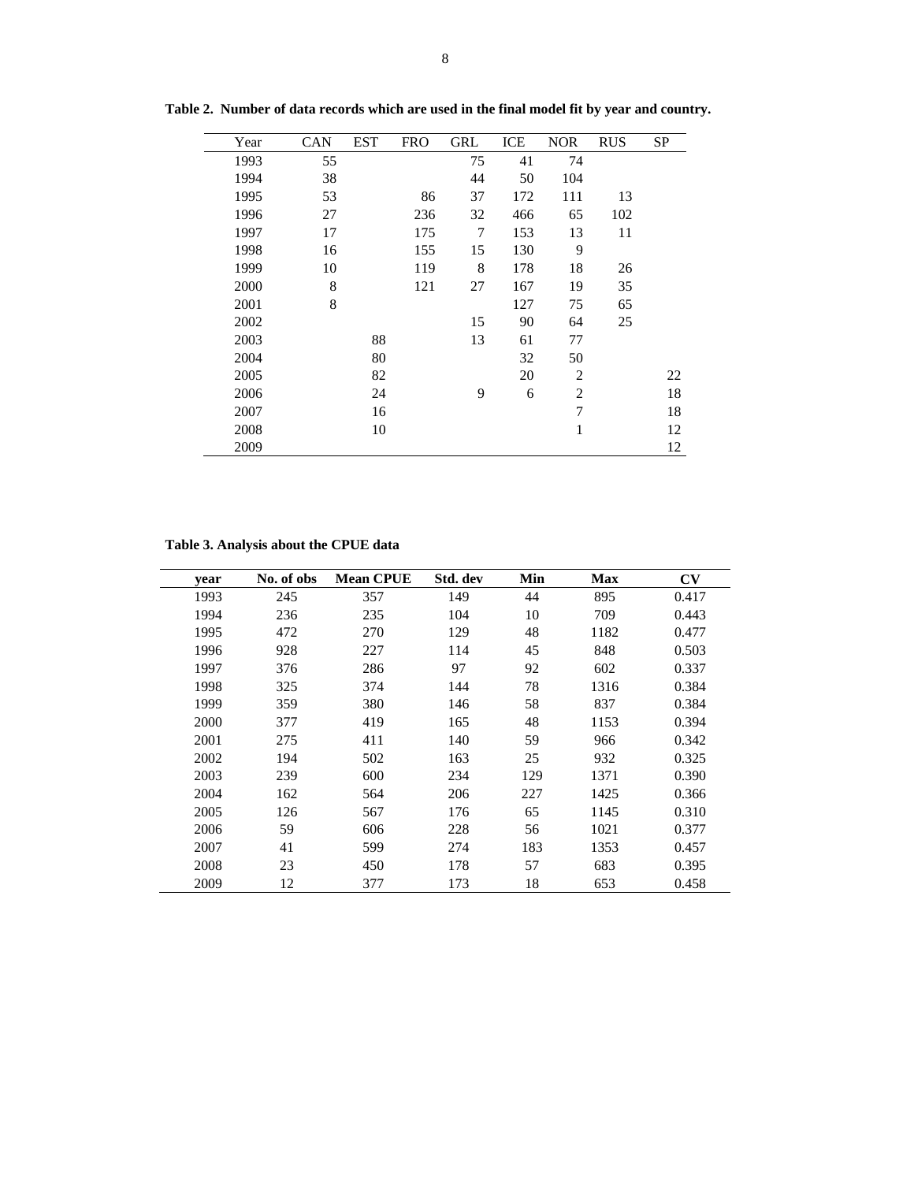| Year | <b>CAN</b> | EST | <b>FRO</b> | <b>GRL</b> | ICE | <b>NOR</b>     | <b>RUS</b> | SP |
|------|------------|-----|------------|------------|-----|----------------|------------|----|
| 1993 | 55         |     |            | 75         | 41  | 74             |            |    |
| 1994 | 38         |     |            | 44         | 50  | 104            |            |    |
| 1995 | 53         |     | 86         | 37         | 172 | 111            | 13         |    |
| 1996 | 27         |     | 236        | 32         | 466 | 65             | 102        |    |
| 1997 | 17         |     | 175        | 7          | 153 | 13             | 11         |    |
| 1998 | 16         |     | 155        | 15         | 130 | 9              |            |    |
| 1999 | 10         |     | 119        | 8          | 178 | 18             | 26         |    |
| 2000 | 8          |     | 121        | 27         | 167 | 19             | 35         |    |
| 2001 | 8          |     |            |            | 127 | 75             | 65         |    |
| 2002 |            |     |            | 15         | 90  | 64             | 25         |    |
| 2003 |            | 88  |            | 13         | 61  | 77             |            |    |
| 2004 |            | 80  |            |            | 32  | 50             |            |    |
| 2005 |            | 82  |            |            | 20  | $\overline{2}$ |            | 22 |
| 2006 |            | 24  |            | 9          | 6   | $\overline{2}$ |            | 18 |
| 2007 |            | 16  |            |            |     | $\overline{7}$ |            | 18 |
| 2008 |            | 10  |            |            |     | $\mathbf{1}$   |            | 12 |
| 2009 |            |     |            |            |     |                |            | 12 |

**Table 2. Number of data records which are used in the final model fit by year and country.** 

**Table 3. Analysis about the CPUE data**

| year | No. of obs | <b>Mean CPUE</b> | Std. dev | Min | <b>Max</b> | CV    |
|------|------------|------------------|----------|-----|------------|-------|
| 1993 | 245        | 357              | 149      | 44  | 895        | 0.417 |
| 1994 | 236        | 235              | 104      | 10  | 709        | 0.443 |
| 1995 | 472        | 270              | 129      | 48  | 1182       | 0.477 |
| 1996 | 928        | 227              | 114      | 45  | 848        | 0.503 |
| 1997 | 376        | 286              | 97       | 92  | 602        | 0.337 |
| 1998 | 325        | 374              | 144      | 78  | 1316       | 0.384 |
| 1999 | 359        | 380              | 146      | 58  | 837        | 0.384 |
| 2000 | 377        | 419              | 165      | 48  | 1153       | 0.394 |
| 2001 | 275        | 411              | 140      | 59  | 966        | 0.342 |
| 2002 | 194        | 502              | 163      | 25  | 932        | 0.325 |
| 2003 | 239        | 600              | 234      | 129 | 1371       | 0.390 |
| 2004 | 162        | 564              | 206      | 227 | 1425       | 0.366 |
| 2005 | 126        | 567              | 176      | 65  | 1145       | 0.310 |
| 2006 | 59         | 606              | 228      | 56  | 1021       | 0.377 |
| 2007 | 41         | 599              | 274      | 183 | 1353       | 0.457 |
| 2008 | 23         | 450              | 178      | 57  | 683        | 0.395 |
| 2009 | 12         | 377              | 173      | 18  | 653        | 0.458 |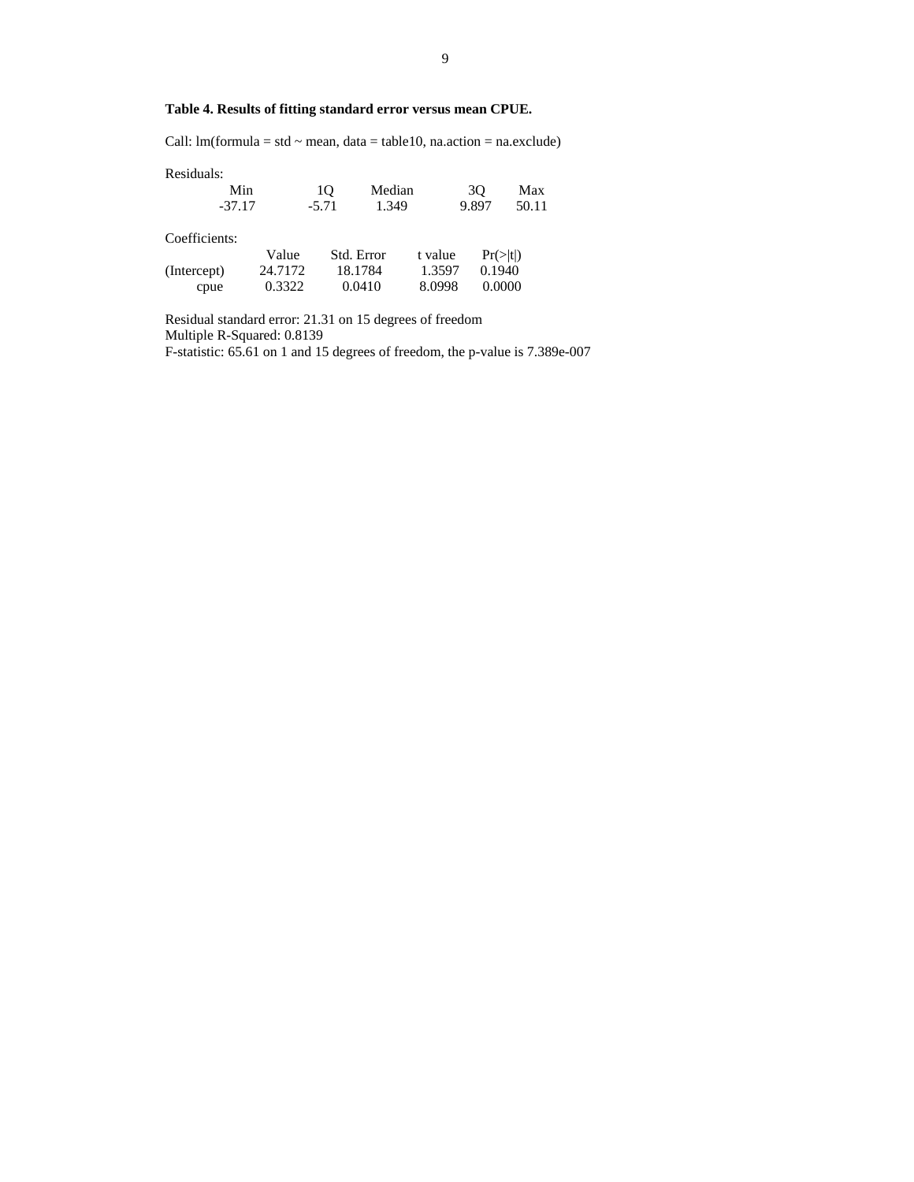# **Table 4. Results of fitting standard error versus mean CPUE.**

Call:  $lm(formula = std \sim mean, data = table10, na.action = na. exclude)$ 

| Residuals:    |         |         |            |         |       |          |
|---------------|---------|---------|------------|---------|-------|----------|
|               | Min     | 10      | Median     |         | 30    | Max      |
| $-37.17$      |         | $-5.71$ | 1.349      |         | 9.897 | 50.11    |
| Coefficients: |         |         |            |         |       |          |
|               | Value   |         | Std. Error | t value |       | Pr(> t ) |
| (Intercept)   | 24.7172 |         | 18.1784    | 1.3597  |       | 0.1940   |
| cpue          | 0.3322  |         | 0.0410     | 8.0998  |       | 0.0000   |

Residual standard error: 21.31 on 15 degrees of freedom Multiple R-Squared: 0.8139 F-statistic: 65.61 on 1 and 15 degrees of freedom, the p-value is 7.389e-007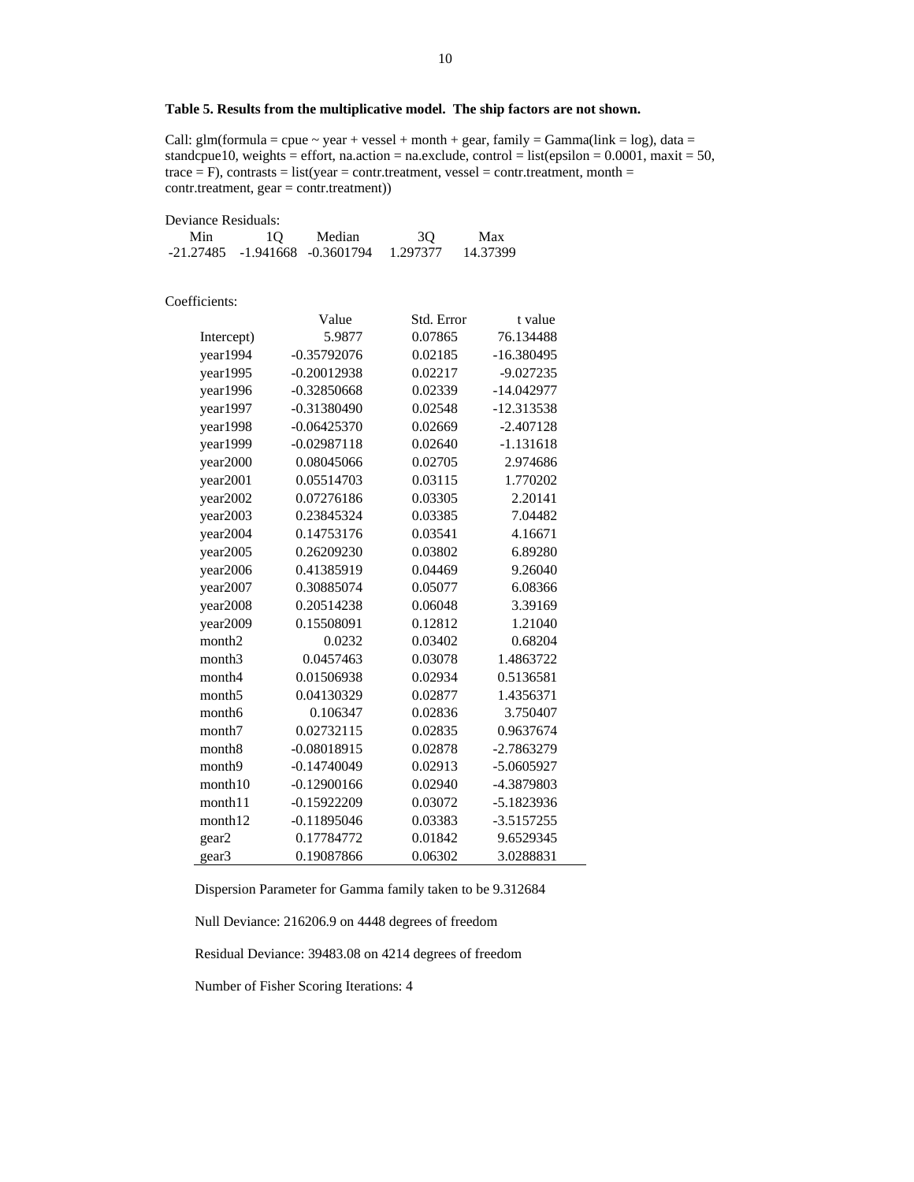# **Table 5. Results from the multiplicative model. The ship factors are not shown.**

Call:  $glm(formula = cque \sim year + vessel + month + gear, family = Gamma(link = log)$ , data = standcpue10, weights = effort, na.action = na.exclude, control = list(epsilon =  $0.0001$ , maxit = 50, trace  $=$  F), contrasts  $=$  list(year  $=$  contr.treatment, vessel  $=$  contr.treatment, month  $=$ contr.treatment, gear = contr.treatment))

| Deviance Residuals: |    |                                         |    |          |
|---------------------|----|-----------------------------------------|----|----------|
| Min                 | 10 | Median                                  | 3O | Max      |
|                     |    | -21.27485 -1.941668 -0.3601794 1.297377 |    | 14.37399 |

Coefficients:

|                    | Value         | Std. Error | t value      |
|--------------------|---------------|------------|--------------|
| Intercept)         | 5.9877        | 0.07865    | 76.134488    |
| year1994           | $-0.35792076$ | 0.02185    | $-16.380495$ |
| year1995           | $-0.20012938$ | 0.02217    | $-9.027235$  |
| year1996           | $-0.32850668$ | 0.02339    | $-14.042977$ |
| year1997           | $-0.31380490$ | 0.02548    | $-12.313538$ |
| year1998           | $-0.06425370$ | 0.02669    | $-2.407128$  |
| year1999           | $-0.02987118$ | 0.02640    | $-1.131618$  |
| year2000           | 0.08045066    | 0.02705    | 2.974686     |
| year2001           | 0.05514703    | 0.03115    | 1.770202     |
| year2002           | 0.07276186    | 0.03305    | 2.20141      |
| year2003           | 0.23845324    | 0.03385    | 7.04482      |
| year2004           | 0.14753176    | 0.03541    | 4.16671      |
| year2005           | 0.26209230    | 0.03802    | 6.89280      |
| year2006           | 0.41385919    | 0.04469    | 9.26040      |
| year2007           | 0.30885074    | 0.05077    | 6.08366      |
| year2008           | 0.20514238    | 0.06048    | 3.39169      |
| year2009           | 0.15508091    | 0.12812    | 1.21040      |
| month <sub>2</sub> | 0.0232        | 0.03402    | 0.68204      |
| month <sub>3</sub> | 0.0457463     | 0.03078    | 1.4863722    |
| month4             | 0.01506938    | 0.02934    | 0.5136581    |
| month <sub>5</sub> | 0.04130329    | 0.02877    | 1.4356371    |
| month <sub>6</sub> | 0.106347      | 0.02836    | 3.750407     |
| month7             | 0.02732115    | 0.02835    | 0.9637674    |
| month <sub>8</sub> | $-0.08018915$ | 0.02878    | $-2.7863279$ |
| month9             | $-0.14740049$ | 0.02913    | $-5.0605927$ |
| month10            | $-0.12900166$ | 0.02940    | -4.3879803   |
| month11            | $-0.15922209$ | 0.03072    | $-5.1823936$ |
| month12            | $-0.11895046$ | 0.03383    | $-3.5157255$ |
| gear2              | 0.17784772    | 0.01842    | 9.6529345    |
| gear3              | 0.19087866    | 0.06302    | 3.0288831    |

Dispersion Parameter for Gamma family taken to be 9.312684

Null Deviance: 216206.9 on 4448 degrees of freedom

Residual Deviance: 39483.08 on 4214 degrees of freedom

Number of Fisher Scoring Iterations: 4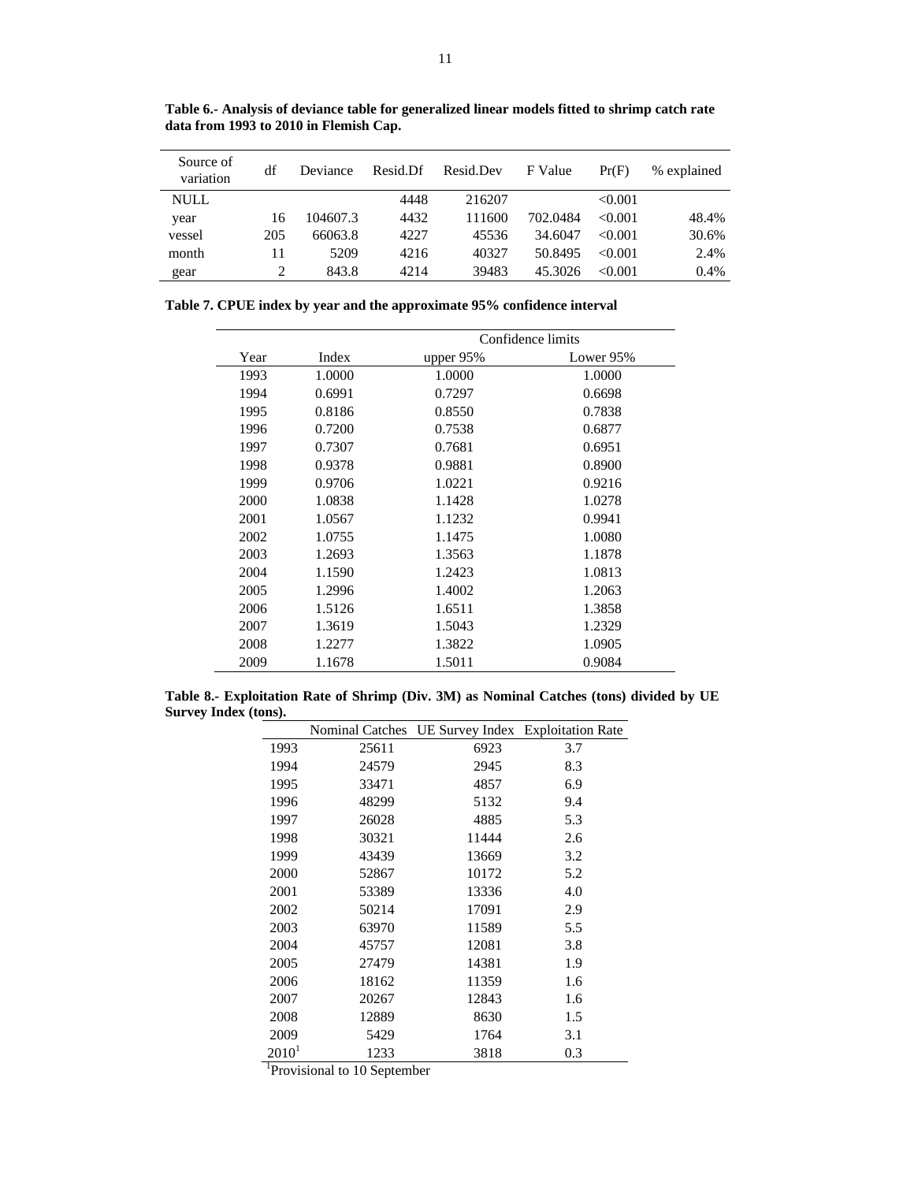| Source of<br>variation | df  | Deviance | Resid.Df | Resid.Dev | F Value  | Pr(F)   | % explained |
|------------------------|-----|----------|----------|-----------|----------|---------|-------------|
| <b>NULL</b>            |     |          | 4448     | 216207    |          | < 0.001 |             |
| year                   | 16  | 104607.3 | 4432     | 111600    | 702.0484 | < 0.001 | 48.4%       |
| vessel                 | 205 | 66063.8  | 4227     | 45536     | 34.6047  | < 0.001 | 30.6%       |
| month                  | 11  | 5209     | 4216     | 40327     | 50.8495  | <0.001  | 2.4%        |
| gear                   | 2   | 843.8    | 4214     | 39483     | 45.3026  | < 0.001 | 0.4%        |

**Table 6.- Analysis of deviance table for generalized linear models fitted to shrimp catch rate data from 1993 to 2010 in Flemish Cap.** 

|  |  | Table 7. CPUE index by year and the approximate 95% confidence interval |
|--|--|-------------------------------------------------------------------------|
|  |  |                                                                         |

|      |        | Confidence limits |           |  |  |
|------|--------|-------------------|-----------|--|--|
| Year | Index  | upper 95%         | Lower 95% |  |  |
| 1993 | 1.0000 | 1.0000            | 1.0000    |  |  |
| 1994 | 0.6991 | 0.7297            | 0.6698    |  |  |
| 1995 | 0.8186 | 0.8550            | 0.7838    |  |  |
| 1996 | 0.7200 | 0.7538            | 0.6877    |  |  |
| 1997 | 0.7307 | 0.7681            | 0.6951    |  |  |
| 1998 | 0.9378 | 0.9881            | 0.8900    |  |  |
| 1999 | 0.9706 | 1.0221            | 0.9216    |  |  |
| 2000 | 1.0838 | 1.1428            | 1.0278    |  |  |
| 2001 | 1.0567 | 1.1232            | 0.9941    |  |  |
| 2002 | 1.0755 | 1.1475            | 1.0080    |  |  |
| 2003 | 1.2693 | 1.3563            | 1.1878    |  |  |
| 2004 | 1.1590 | 1.2423            | 1.0813    |  |  |
| 2005 | 1.2996 | 1.4002            | 1.2063    |  |  |
| 2006 | 1.5126 | 1.6511            | 1.3858    |  |  |
| 2007 | 1.3619 | 1.5043            | 1.2329    |  |  |
| 2008 | 1.2277 | 1.3822            | 1.0905    |  |  |
| 2009 | 1.1678 | 1.5011            | 0.9084    |  |  |

**Table 8.- Exploitation Rate of Shrimp (Div. 3M) as Nominal Catches (tons) divided by UE Survey Index (tons).** 

|          |       | Nominal Catches UE Survey Index Exploitation Rate |     |
|----------|-------|---------------------------------------------------|-----|
| 1993     | 25611 | 6923                                              | 3.7 |
| 1994     | 24579 | 2945                                              | 8.3 |
| 1995     | 33471 | 4857                                              | 6.9 |
| 1996     | 48299 | 5132                                              | 9.4 |
| 1997     | 26028 | 4885                                              | 5.3 |
| 1998     | 30321 | 11444                                             | 2.6 |
| 1999     | 43439 | 13669                                             | 3.2 |
| 2000     | 52867 | 10172                                             | 5.2 |
| 2001     | 53389 | 13336                                             | 4.0 |
| 2002     | 50214 | 17091                                             | 2.9 |
| 2003     | 63970 | 11589                                             | 5.5 |
| 2004     | 45757 | 12081                                             | 3.8 |
| 2005     | 27479 | 14381                                             | 1.9 |
| 2006     | 18162 | 11359                                             | 1.6 |
| 2007     | 20267 | 12843                                             | 1.6 |
| 2008     | 12889 | 8630                                              | 1.5 |
| 2009     | 5429  | 1764                                              | 3.1 |
| $2010^1$ | 1233  | 3818                                              | 0.3 |

 <sup>1</sup> <sup>1</sup>Provisional to 10 September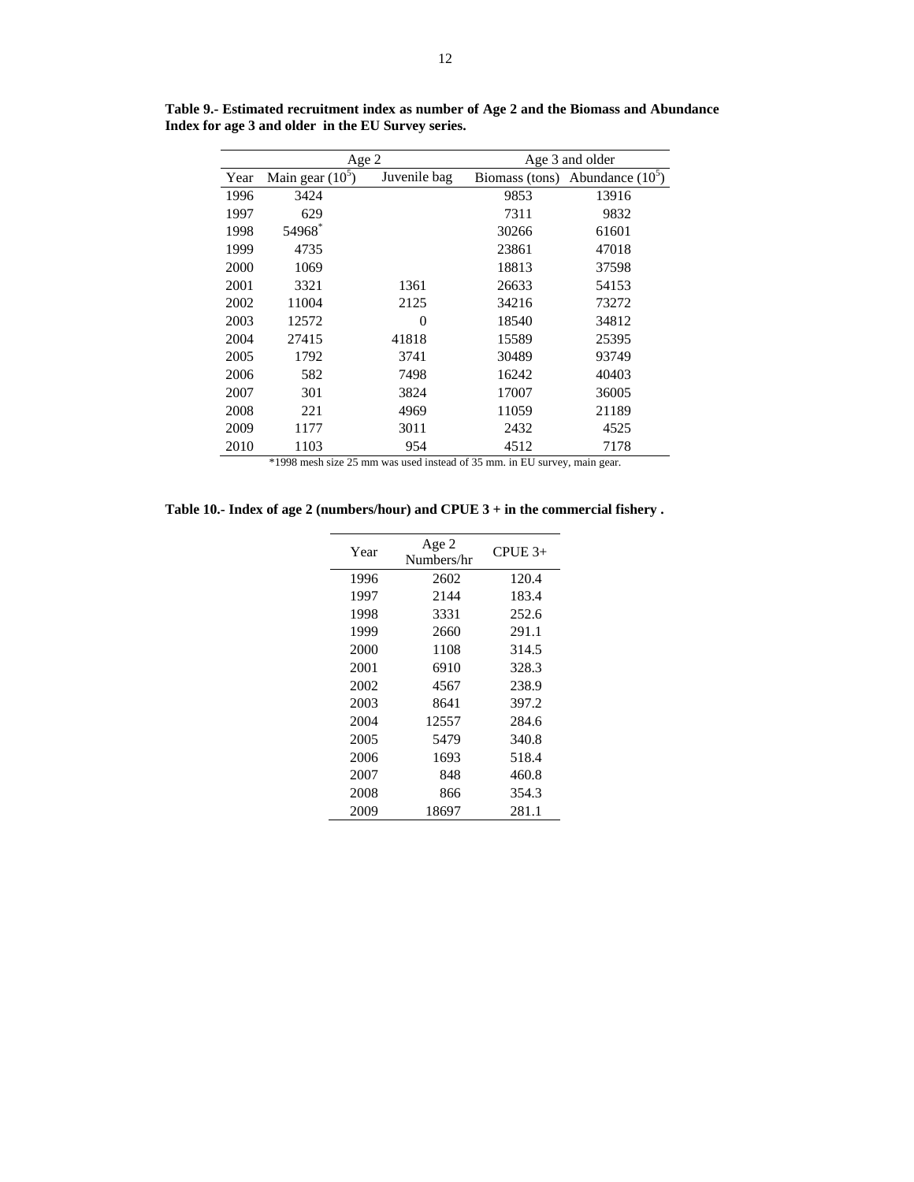|      | Age 2              |              | Age 3 and older |                    |  |
|------|--------------------|--------------|-----------------|--------------------|--|
| Year | Main gear $(10^5)$ | Juvenile bag | Biomass (tons)  | Abundance $(10^5)$ |  |
| 1996 | 3424               |              | 9853            | 13916              |  |
| 1997 | 629                |              | 7311            | 9832               |  |
| 1998 | 54968*             |              | 30266           | 61601              |  |
| 1999 | 4735               |              | 23861           | 47018              |  |
| 2000 | 1069               |              | 18813           | 37598              |  |
| 2001 | 3321               | 1361         | 26633           | 54153              |  |
| 2002 | 11004              | 2125         | 34216           | 73272              |  |
| 2003 | 12572              | 0            | 18540           | 34812              |  |
| 2004 | 27415              | 41818        | 15589           | 25395              |  |
| 2005 | 1792               | 3741         | 30489           | 93749              |  |
| 2006 | 582                | 7498         | 16242           | 40403              |  |
| 2007 | 301                | 3824         | 17007           | 36005              |  |
| 2008 | 221                | 4969         | 11059           | 21189              |  |
| 2009 | 1177               | 3011         | 2432            | 4525               |  |
| 2010 | 1103               | 954          | 4512            | 7178               |  |

**Table 9.- Estimated recruitment index as number of Age 2 and the Biomass and Abundance Index for age 3 and older in the EU Survey series.** 

\*1998 mesh size 25 mm was used instead of 35 mm. in EU survey, main gear.

**Table 10.- Index of age 2 (numbers/hour) and CPUE 3 + in the commercial fishery .** 

| Year | Age 2<br>Numbers/hr | $CPUE$ 3+ |
|------|---------------------|-----------|
| 1996 | 2602                | 120.4     |
| 1997 | 2144                | 183.4     |
| 1998 | 3331                | 252.6     |
| 1999 | 2660                | 291.1     |
| 2000 | 1108                | 314.5     |
| 2001 | 6910                | 328.3     |
| 2002 | 4567                | 238.9     |
| 2003 | 8641                | 397.2     |
| 2004 | 12557               | 284.6     |
| 2005 | 5479                | 340.8     |
| 2006 | 1693                | 518.4     |
| 2007 | 848                 | 460.8     |
| 2008 | 866                 | 354.3     |
| 2009 | 18697               | 281.1     |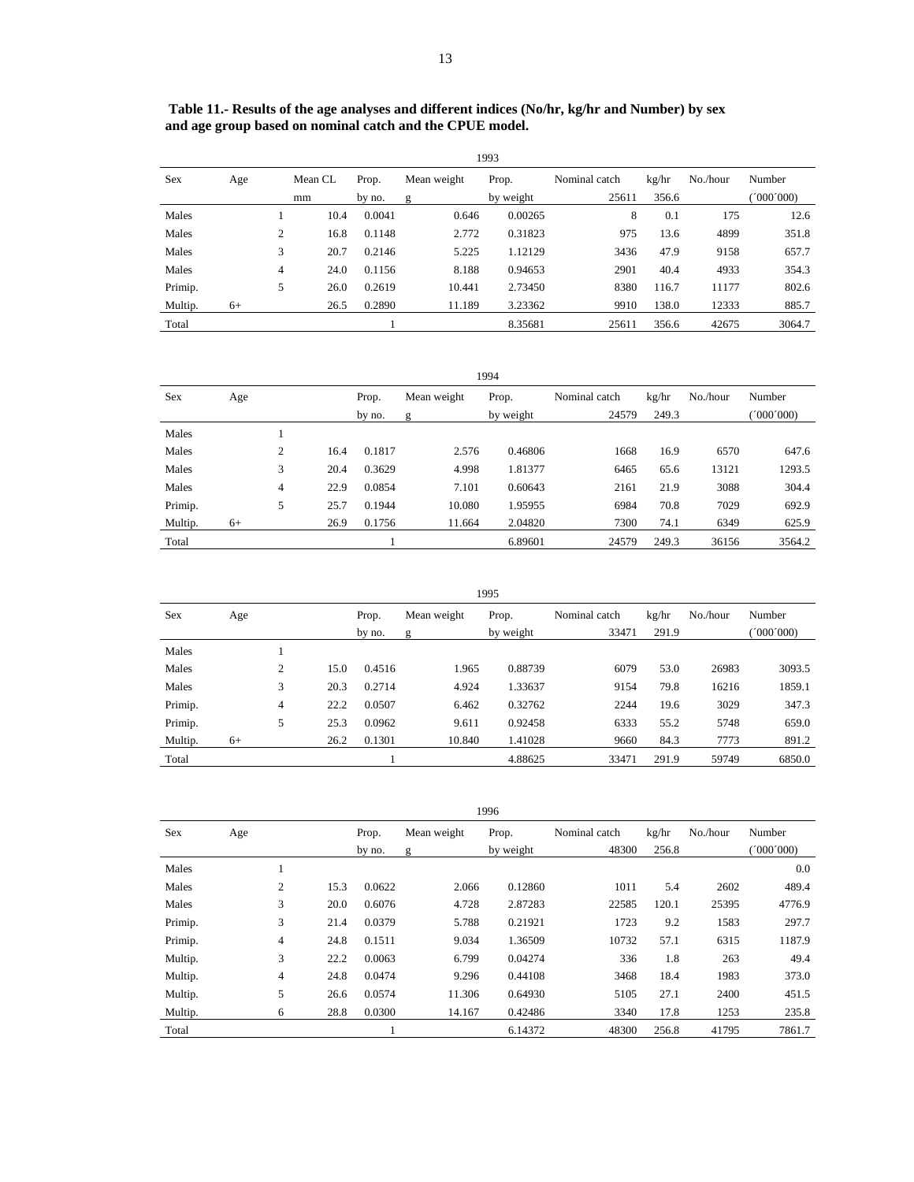|         | 1993 |   |         |        |             |           |               |       |          |           |  |  |
|---------|------|---|---------|--------|-------------|-----------|---------------|-------|----------|-----------|--|--|
| Sex     | Age  |   | Mean CL | Prop.  | Mean weight | Prop.     | Nominal catch | kg/hr | No./hour | Number    |  |  |
|         |      |   | mm      | by no. | g           | by weight | 25611         | 356.6 |          | (000'000) |  |  |
| Males   |      |   | 10.4    | 0.0041 | 0.646       | 0.00265   | 8             | 0.1   | 175      | 12.6      |  |  |
| Males   |      | 2 | 16.8    | 0.1148 | 2.772       | 0.31823   | 975           | 13.6  | 4899     | 351.8     |  |  |
| Males   |      | 3 | 20.7    | 0.2146 | 5.225       | 1.12129   | 3436          | 47.9  | 9158     | 657.7     |  |  |
| Males   |      | 4 | 24.0    | 0.1156 | 8.188       | 0.94653   | 2901          | 40.4  | 4933     | 354.3     |  |  |
| Primip. |      | 5 | 26.0    | 0.2619 | 10.441      | 2.73450   | 8380          | 116.7 | 11177    | 802.6     |  |  |
| Multip. | $6+$ |   | 26.5    | 0.2890 | 11.189      | 3.23362   | 9910          | 138.0 | 12333    | 885.7     |  |  |

Total 1 8.35681 25611 356.6 42675 3064.7

 **Table 11.- Results of the age analyses and different indices (No/hr, kg/hr and Number) by sex and age group based on nominal catch and the CPUE model.** 

|            | 1994 |   |      |        |             |           |               |       |          |          |  |  |
|------------|------|---|------|--------|-------------|-----------|---------------|-------|----------|----------|--|--|
| <b>Sex</b> | Age  |   |      | Prop.  | Mean weight | Prop.     | Nominal catch | kg/hr | No./hour | Number   |  |  |
|            |      |   |      | by no. | g           | by weight | 24579         | 249.3 |          | '000'000 |  |  |
| Males      |      |   |      |        |             |           |               |       |          |          |  |  |
| Males      |      | 2 | 16.4 | 0.1817 | 2.576       | 0.46806   | 1668          | 16.9  | 6570     | 647.6    |  |  |
| Males      |      | 3 | 20.4 | 0.3629 | 4.998       | 1.81377   | 6465          | 65.6  | 13121    | 1293.5   |  |  |
| Males      |      | 4 | 22.9 | 0.0854 | 7.101       | 0.60643   | 2161          | 21.9  | 3088     | 304.4    |  |  |
| Primip.    |      | 5 | 25.7 | 0.1944 | 10.080      | 1.95955   | 6984          | 70.8  | 7029     | 692.9    |  |  |
| Multip.    | $6+$ |   | 26.9 | 0.1756 | 11.664      | 2.04820   | 7300          | 74.1  | 6349     | 625.9    |  |  |
| Total      |      |   |      |        |             | 6.89601   | 24579         | 249.3 | 36156    | 3564.2   |  |  |

| 1995    |      |   |      |        |             |           |               |       |          |           |  |
|---------|------|---|------|--------|-------------|-----------|---------------|-------|----------|-----------|--|
| Sex     | Age  |   |      | Prop.  | Mean weight | Prop.     | Nominal catch | kg/hr | No./hour | Number    |  |
|         |      |   |      | by no. | g           | by weight | 33471         | 291.9 |          | (000'000) |  |
| Males   |      |   |      |        |             |           |               |       |          |           |  |
| Males   |      | 2 | 15.0 | 0.4516 | 1.965       | 0.88739   | 6079          | 53.0  | 26983    | 3093.5    |  |
| Males   |      | 3 | 20.3 | 0.2714 | 4.924       | 1.33637   | 9154          | 79.8  | 16216    | 1859.1    |  |
| Primip. |      | 4 | 22.2 | 0.0507 | 6.462       | 0.32762   | 2244          | 19.6  | 3029     | 347.3     |  |
| Primip. |      | 5 | 25.3 | 0.0962 | 9.611       | 0.92458   | 6333          | 55.2  | 5748     | 659.0     |  |
| Multip. | $6+$ |   | 26.2 | 0.1301 | 10.840      | 1.41028   | 9660          | 84.3  | 7773     | 891.2     |  |
| Total   |      |   |      |        |             | 4.88625   | 33471         | 291.9 | 59749    | 6850.0    |  |

| 1996    |     |   |      |        |             |           |               |       |          |           |  |
|---------|-----|---|------|--------|-------------|-----------|---------------|-------|----------|-----------|--|
| Sex     | Age |   |      | Prop.  | Mean weight | Prop.     | Nominal catch | kg/hr | No./hour | Number    |  |
|         |     |   |      | by no. | g           | by weight | 48300         | 256.8 |          | (000'000) |  |
| Males   |     |   |      |        |             |           |               |       |          | 0.0       |  |
| Males   |     | 2 | 15.3 | 0.0622 | 2.066       | 0.12860   | 1011          | 5.4   | 2602     | 489.4     |  |
| Males   |     | 3 | 20.0 | 0.6076 | 4.728       | 2.87283   | 22585         | 120.1 | 25395    | 4776.9    |  |
| Primip. |     | 3 | 21.4 | 0.0379 | 5.788       | 0.21921   | 1723          | 9.2   | 1583     | 297.7     |  |
| Primip. |     | 4 | 24.8 | 0.1511 | 9.034       | 1.36509   | 10732         | 57.1  | 6315     | 1187.9    |  |
| Multip. |     | 3 | 22.2 | 0.0063 | 6.799       | 0.04274   | 336           | 1.8   | 263      | 49.4      |  |
| Multip. |     | 4 | 24.8 | 0.0474 | 9.296       | 0.44108   | 3468          | 18.4  | 1983     | 373.0     |  |
| Multip. |     | 5 | 26.6 | 0.0574 | 11.306      | 0.64930   | 5105          | 27.1  | 2400     | 451.5     |  |
| Multip. |     | 6 | 28.8 | 0.0300 | 14.167      | 0.42486   | 3340          | 17.8  | 1253     | 235.8     |  |
| Total   |     |   |      |        |             | 6.14372   | 48300         | 256.8 | 41795    | 7861.7    |  |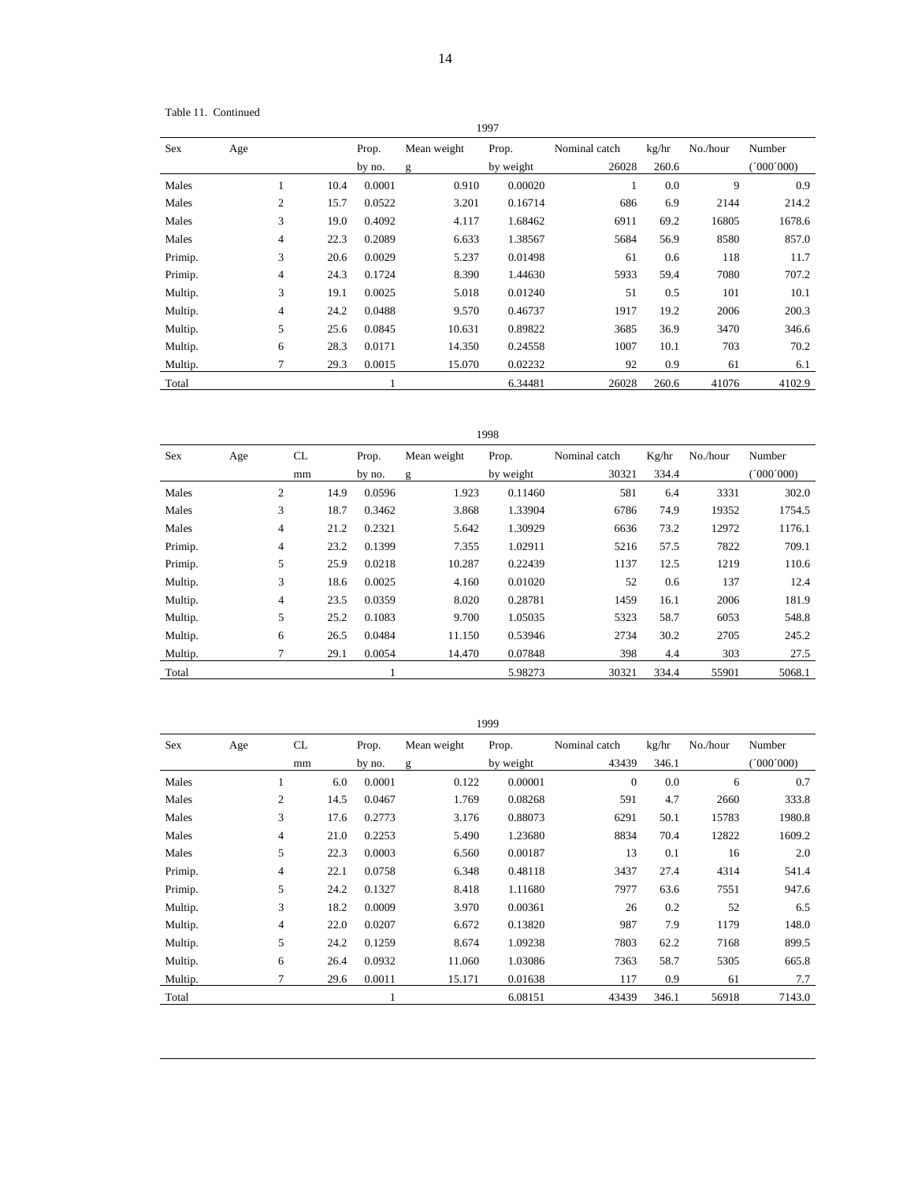Table 11. Continued

| 1997       |     |                          |      |                 |                              |                    |                        |                |          |                   |  |
|------------|-----|--------------------------|------|-----------------|------------------------------|--------------------|------------------------|----------------|----------|-------------------|--|
| <b>Sex</b> | Age |                          |      | Prop.<br>by no. | Mean weight<br>$\mathfrak g$ | Prop.<br>by weight | Nominal catch<br>26028 | kg/hr<br>260.6 | No./hour | Number<br>000'000 |  |
| Males      |     | 1                        | 10.4 | 0.0001          | 0.910                        | 0.00020            |                        | 0.0            | 9        | 0.9               |  |
| Males      |     | $\overline{2}$           | 15.7 | 0.0522          | 3.201                        | 0.16714            | 686                    | 6.9            | 2144     | 214.2             |  |
| Males      |     | 3                        | 19.0 | 0.4092          | 4.117                        | 1.68462            | 6911                   | 69.2           | 16805    | 1678.6            |  |
| Males      |     | 4                        | 22.3 | 0.2089          | 6.633                        | 1.38567            | 5684                   | 56.9           | 8580     | 857.0             |  |
| Primip.    |     | 3                        | 20.6 | 0.0029          | 5.237                        | 0.01498            | 61                     | 0.6            | 118      | 11.7              |  |
| Primip.    |     | $\overline{\mathcal{L}}$ | 24.3 | 0.1724          | 8.390                        | 1.44630            | 5933                   | 59.4           | 7080     | 707.2             |  |
| Multip.    |     | 3                        | 19.1 | 0.0025          | 5.018                        | 0.01240            | 51                     | 0.5            | 101      | 10.1              |  |
| Multip.    |     | $\overline{\mathcal{L}}$ | 24.2 | 0.0488          | 9.570                        | 0.46737            | 1917                   | 19.2           | 2006     | 200.3             |  |
| Multip.    |     | 5                        | 25.6 | 0.0845          | 10.631                       | 0.89822            | 3685                   | 36.9           | 3470     | 346.6             |  |
| Multip.    |     | 6                        | 28.3 | 0.0171          | 14.350                       | 0.24558            | 1007                   | 10.1           | 703      | 70.2              |  |
| Multip.    |     | 7                        | 29.3 | 0.0015          | 15.070                       | 0.02232            | 92                     | 0.9            | 61       | 6.1               |  |
| Total      |     |                          |      |                 |                              | 6.34481            | 26028                  | 260.6          | 41076    | 4102.9            |  |

1998

| Sex     | Age | CL   | Prop.  | Mean weight | Prop.     | Nominal catch | Kg/hr | No./hour | Number    |
|---------|-----|------|--------|-------------|-----------|---------------|-------|----------|-----------|
|         |     | mm   | by no. | g           | by weight | 30321         | 334.4 |          | (000'000) |
| Males   | 2   | 14.9 | 0.0596 | 1.923       | 0.11460   | 581           | 6.4   | 3331     | 302.0     |
| Males   | 3   | 18.7 | 0.3462 | 3.868       | 1.33904   | 6786          | 74.9  | 19352    | 1754.5    |
| Males   | 4   | 21.2 | 0.2321 | 5.642       | 1.30929   | 6636          | 73.2  | 12972    | 1176.1    |
| Primip. | 4   | 23.2 | 0.1399 | 7.355       | 1.02911   | 5216          | 57.5  | 7822     | 709.1     |
| Primip. | 5   | 25.9 | 0.0218 | 10.287      | 0.22439   | 1137          | 12.5  | 1219     | 110.6     |
| Multip. | 3   | 18.6 | 0.0025 | 4.160       | 0.01020   | 52            | 0.6   | 137      | 12.4      |
| Multip. | 4   | 23.5 | 0.0359 | 8.020       | 0.28781   | 1459          | 16.1  | 2006     | 181.9     |
| Multip. | 5   | 25.2 | 0.1083 | 9.700       | 1.05035   | 5323          | 58.7  | 6053     | 548.8     |
| Multip. | 6   | 26.5 | 0.0484 | 11.150      | 0.53946   | 2734          | 30.2  | 2705     | 245.2     |
| Multip. |     | 29.1 | 0.0054 | 14.470      | 0.07848   | 398           | 4.4   | 303      | 27.5      |
| Total   |     |      |        |             | 5.98273   | 30321         | 334.4 | 55901    | 5068.1    |

| 1999    |     |                |      |        |             |           |               |       |          |           |  |
|---------|-----|----------------|------|--------|-------------|-----------|---------------|-------|----------|-----------|--|
| Sex     | Age | CL             |      | Prop.  | Mean weight | Prop.     | Nominal catch | kg/hr | No./hour | Number    |  |
|         |     | mm             |      | by no. | g           | by weight | 43439         | 346.1 |          | (000'000) |  |
| Males   |     | 1              | 6.0  | 0.0001 | 0.122       | 0.00001   | $\mathbf{0}$  | 0.0   | 6        | 0.7       |  |
| Males   |     | 2              | 14.5 | 0.0467 | 1.769       | 0.08268   | 591           | 4.7   | 2660     | 333.8     |  |
| Males   |     | 3              | 17.6 | 0.2773 | 3.176       | 0.88073   | 6291          | 50.1  | 15783    | 1980.8    |  |
| Males   |     | 4              | 21.0 | 0.2253 | 5.490       | 1.23680   | 8834          | 70.4  | 12822    | 1609.2    |  |
| Males   |     | 5              | 22.3 | 0.0003 | 6.560       | 0.00187   | 13            | 0.1   | 16       | 2.0       |  |
| Primip. |     | 4              | 22.1 | 0.0758 | 6.348       | 0.48118   | 3437          | 27.4  | 4314     | 541.4     |  |
| Primip. |     | 5              | 24.2 | 0.1327 | 8.418       | 1.11680   | 7977          | 63.6  | 7551     | 947.6     |  |
| Multip. |     | 3              | 18.2 | 0.0009 | 3.970       | 0.00361   | 26            | 0.2   | 52       | 6.5       |  |
| Multip. |     | $\overline{4}$ | 22.0 | 0.0207 | 6.672       | 0.13820   | 987           | 7.9   | 1179     | 148.0     |  |
| Multip. |     | 5              | 24.2 | 0.1259 | 8.674       | 1.09238   | 7803          | 62.2  | 7168     | 899.5     |  |
| Multip. |     | 6              | 26.4 | 0.0932 | 11.060      | 1.03086   | 7363          | 58.7  | 5305     | 665.8     |  |
| Multip. |     | $\overline{7}$ | 29.6 | 0.0011 | 15.171      | 0.01638   | 117           | 0.9   | 61       | 7.7       |  |
| Total   |     |                |      |        |             | 6.08151   | 43439         | 346.1 | 56918    | 7143.0    |  |

1999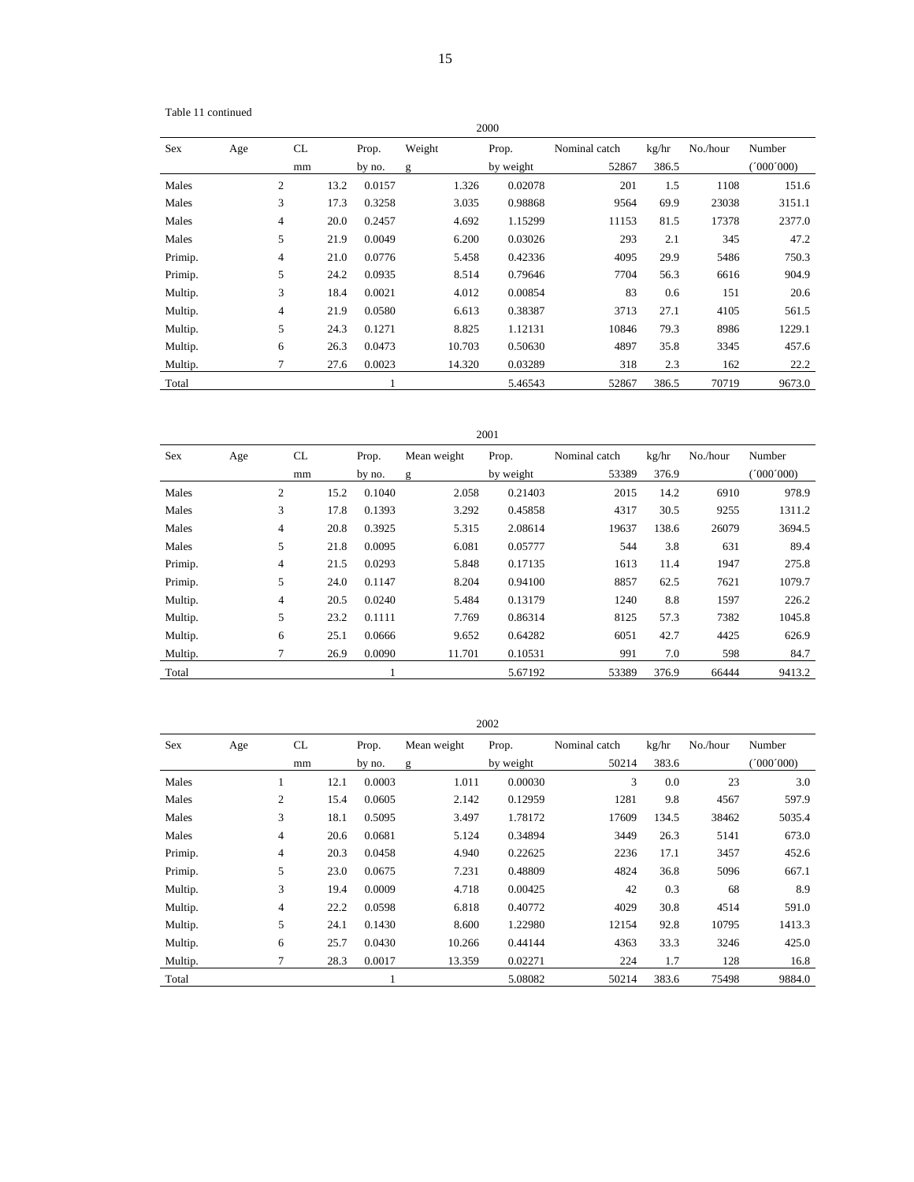Table 11 continued

| 2000       |     |                |      |        |        |        |           |               |       |          |           |
|------------|-----|----------------|------|--------|--------|--------|-----------|---------------|-------|----------|-----------|
| <b>Sex</b> | Age | CL             |      | Prop.  | Weight |        | Prop.     | Nominal catch | kg/hr | No./hour | Number    |
|            |     | mm             |      | by no. | g      |        | by weight | 52867         | 386.5 |          | (1000000) |
| Males      |     | $\overline{2}$ | 13.2 | 0.0157 |        | 1.326  | 0.02078   | 201           | 1.5   | 1108     | 151.6     |
| Males      |     | 3              | 17.3 | 0.3258 |        | 3.035  | 0.98868   | 9564          | 69.9  | 23038    | 3151.1    |
| Males      |     | 4              | 20.0 | 0.2457 |        | 4.692  | 1.15299   | 11153         | 81.5  | 17378    | 2377.0    |
| Males      |     | 5              | 21.9 | 0.0049 |        | 6.200  | 0.03026   | 293           | 2.1   | 345      | 47.2      |
| Primip.    |     | $\overline{4}$ | 21.0 | 0.0776 |        | 5.458  | 0.42336   | 4095          | 29.9  | 5486     | 750.3     |
| Primip.    |     | 5              | 24.2 | 0.0935 |        | 8.514  | 0.79646   | 7704          | 56.3  | 6616     | 904.9     |
| Multip.    |     | 3              | 18.4 | 0.0021 |        | 4.012  | 0.00854   | 83            | 0.6   | 151      | 20.6      |
| Multip.    |     | 4              | 21.9 | 0.0580 |        | 6.613  | 0.38387   | 3713          | 27.1  | 4105     | 561.5     |
| Multip.    |     | 5              | 24.3 | 0.1271 |        | 8.825  | 1.12131   | 10846         | 79.3  | 8986     | 1229.1    |
| Multip.    |     | 6              | 26.3 | 0.0473 |        | 10.703 | 0.50630   | 4897          | 35.8  | 3345     | 457.6     |
| Multip.    |     | 7              | 27.6 | 0.0023 |        | 14.320 | 0.03289   | 318           | 2.3   | 162      | 22.2      |
| Total      |     |                |      |        |        |        | 5.46543   | 52867         | 386.5 | 70719    | 9673.0    |

2001

| <b>Sex</b> | Age | CL |      | Prop.  | Mean weight | Prop.     | Nominal catch | kg/hr | No./hour | Number   |
|------------|-----|----|------|--------|-------------|-----------|---------------|-------|----------|----------|
|            |     | mm |      | by no. | g           | by weight | 53389         | 376.9 |          | '000'000 |
| Males      | 2   |    | 15.2 | 0.1040 | 2.058       | 0.21403   | 2015          | 14.2  | 6910     | 978.9    |
| Males      |     | 3  | 17.8 | 0.1393 | 3.292       | 0.45858   | 4317          | 30.5  | 9255     | 1311.2   |
| Males      | 4   |    | 20.8 | 0.3925 | 5.315       | 2.08614   | 19637         | 138.6 | 26079    | 3694.5   |
| Males      |     | 5  | 21.8 | 0.0095 | 6.081       | 0.05777   | 544           | 3.8   | 631      | 89.4     |
| Primip.    |     | 4  | 21.5 | 0.0293 | 5.848       | 0.17135   | 1613          | 11.4  | 1947     | 275.8    |
| Primip.    |     | 5  | 24.0 | 0.1147 | 8.204       | 0.94100   | 8857          | 62.5  | 7621     | 1079.7   |
| Multip.    |     | 4  | 20.5 | 0.0240 | 5.484       | 0.13179   | 1240          | 8.8   | 1597     | 226.2    |
| Multip.    |     | 5  | 23.2 | 0.1111 | 7.769       | 0.86314   | 8125          | 57.3  | 7382     | 1045.8   |
| Multip.    |     | 6  | 25.1 | 0.0666 | 9.652       | 0.64282   | 6051          | 42.7  | 4425     | 626.9    |
| Multip.    |     |    | 26.9 | 0.0090 | 11.701      | 0.10531   | 991           | 7.0   | 598      | 84.7     |
| Total      |     |    |      |        |             | 5.67192   | 53389         | 376.9 | 66444    | 9413.2   |

| <b>Sex</b> | Age            | CL<br>mm | Prop.<br>by no. | Mean weight<br>g | Prop.<br>by weight | Nominal catch<br>50214 | kg/hr<br>383.6 | No./hour | Number<br>(000'000) |
|------------|----------------|----------|-----------------|------------------|--------------------|------------------------|----------------|----------|---------------------|
| Males      |                | 12.1     | 0.0003          | 1.011            | 0.00030            | 3                      | 0.0            | 23       | 3.0                 |
| Males      | 2              | 15.4     | 0.0605          | 2.142            | 0.12959            | 1281                   | 9.8            | 4567     | 597.9               |
| Males      | 3              | 18.1     | 0.5095          | 3.497            | 1.78172            | 17609                  | 134.5          | 38462    | 5035.4              |
| Males      | $\overline{4}$ | 20.6     | 0.0681          | 5.124            | 0.34894            | 3449                   | 26.3           | 5141     | 673.0               |
| Primip.    | $\overline{4}$ | 20.3     | 0.0458          | 4.940            | 0.22625            | 2236                   | 17.1           | 3457     | 452.6               |
| Primip.    | 5              | 23.0     | 0.0675          | 7.231            | 0.48809            | 4824                   | 36.8           | 5096     | 667.1               |
| Multip.    | 3              | 19.4     | 0.0009          | 4.718            | 0.00425            | 42                     | 0.3            | 68       | 8.9                 |
| Multip.    | 4              | 22.2     | 0.0598          | 6.818            | 0.40772            | 4029                   | 30.8           | 4514     | 591.0               |
| Multip.    | 5              | 24.1     | 0.1430          | 8.600            | 1.22980            | 12154                  | 92.8           | 10795    | 1413.3              |
| Multip.    | 6              | 25.7     | 0.0430          | 10.266           | 0.44144            | 4363                   | 33.3           | 3246     | 425.0               |
| Multip.    |                | 28.3     | 0.0017          | 13.359           | 0.02271            | 224                    | 1.7            | 128      | 16.8                |
| Total      |                |          |                 |                  | 5.08082            | 50214                  | 383.6          | 75498    | 9884.0              |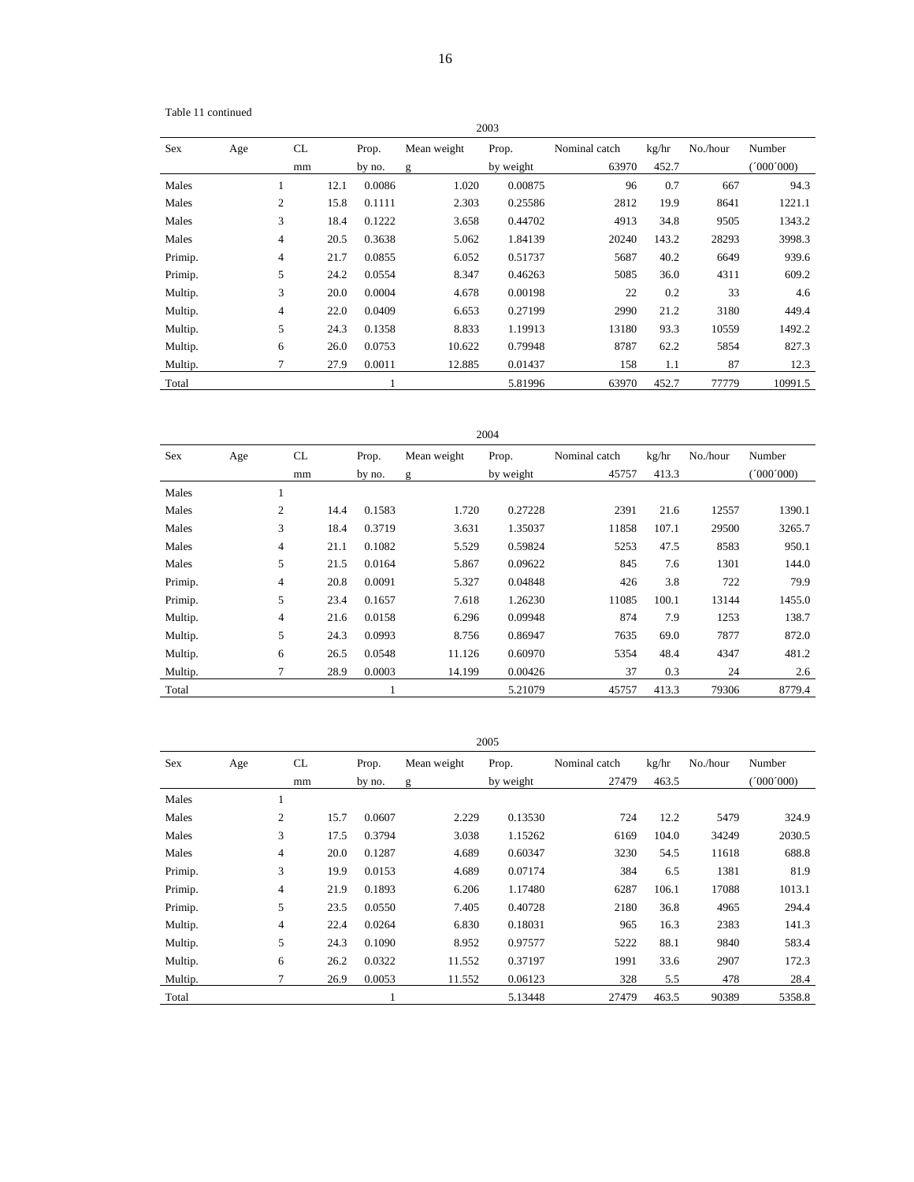Table 11 continued

| 2003       |     |                |      |        |              |           |               |       |          |           |  |  |
|------------|-----|----------------|------|--------|--------------|-----------|---------------|-------|----------|-----------|--|--|
| <b>Sex</b> | Age | <b>CL</b>      |      | Prop.  | Mean weight  | Prop.     | Nominal catch | kg/hr | No./hour | Number    |  |  |
|            |     | mm             |      | by no. | $\mathbf{g}$ | by weight | 63970         | 452.7 |          | (000'000) |  |  |
| Males      |     |                | 12.1 | 0.0086 | 1.020        | 0.00875   | 96            | 0.7   | 667      | 94.3      |  |  |
| Males      |     | $\overline{c}$ | 15.8 | 0.1111 | 2.303        | 0.25586   | 2812          | 19.9  | 8641     | 1221.1    |  |  |
| Males      |     | 3              | 18.4 | 0.1222 | 3.658        | 0.44702   | 4913          | 34.8  | 9505     | 1343.2    |  |  |
| Males      |     | 4              | 20.5 | 0.3638 | 5.062        | 1.84139   | 20240         | 143.2 | 28293    | 3998.3    |  |  |
| Primip.    |     | $\overline{4}$ | 21.7 | 0.0855 | 6.052        | 0.51737   | 5687          | 40.2  | 6649     | 939.6     |  |  |
| Primip.    |     | 5              | 24.2 | 0.0554 | 8.347        | 0.46263   | 5085          | 36.0  | 4311     | 609.2     |  |  |
| Multip.    |     | 3              | 20.0 | 0.0004 | 4.678        | 0.00198   | 22            | 0.2   | 33       | 4.6       |  |  |
| Multip.    |     | 4              | 22.0 | 0.0409 | 6.653        | 0.27199   | 2990          | 21.2  | 3180     | 449.4     |  |  |
| Multip.    |     | 5              | 24.3 | 0.1358 | 8.833        | 1.19913   | 13180         | 93.3  | 10559    | 1492.2    |  |  |
| Multip.    |     | 6              | 26.0 | 0.0753 | 10.622       | 0.79948   | 8787          | 62.2  | 5854     | 827.3     |  |  |
| Multip.    |     | $\tau$         | 27.9 | 0.0011 | 12.885       | 0.01437   | 158           | 1.1   | 87       | 12.3      |  |  |
| Total      |     |                |      |        |              | 5.81996   | 63970         | 452.7 | 77779    | 10991.5   |  |  |

| <b>Sex</b> | Age | CL             |      | Prop.  | Mean weight | Prop.     | Nominal catch | kg/hr | No./hour | Number   |
|------------|-----|----------------|------|--------|-------------|-----------|---------------|-------|----------|----------|
|            |     | mm             |      | by no. | g           | by weight | 45757         | 413.3 |          | '000'000 |
| Males      |     | -1             |      |        |             |           |               |       |          |          |
| Males      |     | $\mathfrak{2}$ | 14.4 | 0.1583 | 1.720       | 0.27228   | 2391          | 21.6  | 12557    | 1390.1   |
| Males      |     | 3              | 18.4 | 0.3719 | 3.631       | 1.35037   | 11858         | 107.1 | 29500    | 3265.7   |
| Males      |     | $\overline{4}$ | 21.1 | 0.1082 | 5.529       | 0.59824   | 5253          | 47.5  | 8583     | 950.1    |
| Males      |     | 5              | 21.5 | 0.0164 | 5.867       | 0.09622   | 845           | 7.6   | 1301     | 144.0    |
| Primip.    |     | $\overline{4}$ | 20.8 | 0.0091 | 5.327       | 0.04848   | 426           | 3.8   | 722      | 79.9     |
| Primip.    |     | 5              | 23.4 | 0.1657 | 7.618       | 1.26230   | 11085         | 100.1 | 13144    | 1455.0   |
| Multip.    |     | $\overline{4}$ | 21.6 | 0.0158 | 6.296       | 0.09948   | 874           | 7.9   | 1253     | 138.7    |
| Multip.    |     | 5              | 24.3 | 0.0993 | 8.756       | 0.86947   | 7635          | 69.0  | 7877     | 872.0    |
| Multip.    |     | 6              | 26.5 | 0.0548 | 11.126      | 0.60970   | 5354          | 48.4  | 4347     | 481.2    |
| Multip.    |     | 7              | 28.9 | 0.0003 | 14.199      | 0.00426   | 37            | 0.3   | 24       | 2.6      |
| Total      |     |                |      | л      |             | 5.21079   | 45757         | 413.3 | 79306    | 8779.4   |

| U |  |
|---|--|
|   |  |

| Sex     | Age | CL.            |      | Prop.  | Mean weight | Prop.     | Nominal catch | kg/hr | No./hour | Number    |
|---------|-----|----------------|------|--------|-------------|-----------|---------------|-------|----------|-----------|
|         |     | mm             |      | by no. | g           | by weight | 27479         | 463.5 |          | (1000000) |
| Males   |     |                |      |        |             |           |               |       |          |           |
| Males   |     | 2              | 15.7 | 0.0607 | 2.229       | 0.13530   | 724           | 12.2  | 5479     | 324.9     |
| Males   |     | 3              | 17.5 | 0.3794 | 3.038       | 1.15262   | 6169          | 104.0 | 34249    | 2030.5    |
| Males   |     | $\overline{4}$ | 20.0 | 0.1287 | 4.689       | 0.60347   | 3230          | 54.5  | 11618    | 688.8     |
| Primip. |     | 3              | 19.9 | 0.0153 | 4.689       | 0.07174   | 384           | 6.5   | 1381     | 81.9      |
| Primip. |     | 4              | 21.9 | 0.1893 | 6.206       | 1.17480   | 6287          | 106.1 | 17088    | 1013.1    |
| Primip. |     | 5              | 23.5 | 0.0550 | 7.405       | 0.40728   | 2180          | 36.8  | 4965     | 294.4     |
| Multip. |     | 4              | 22.4 | 0.0264 | 6.830       | 0.18031   | 965           | 16.3  | 2383     | 141.3     |
| Multip. |     | 5              | 24.3 | 0.1090 | 8.952       | 0.97577   | 5222          | 88.1  | 9840     | 583.4     |
| Multip. |     | 6              | 26.2 | 0.0322 | 11.552      | 0.37197   | 1991          | 33.6  | 2907     | 172.3     |
| Multip. |     |                | 26.9 | 0.0053 | 11.552      | 0.06123   | 328           | 5.5   | 478      | 28.4      |
| Total   |     |                |      |        |             | 5.13448   | 27479         | 463.5 | 90389    | 5358.8    |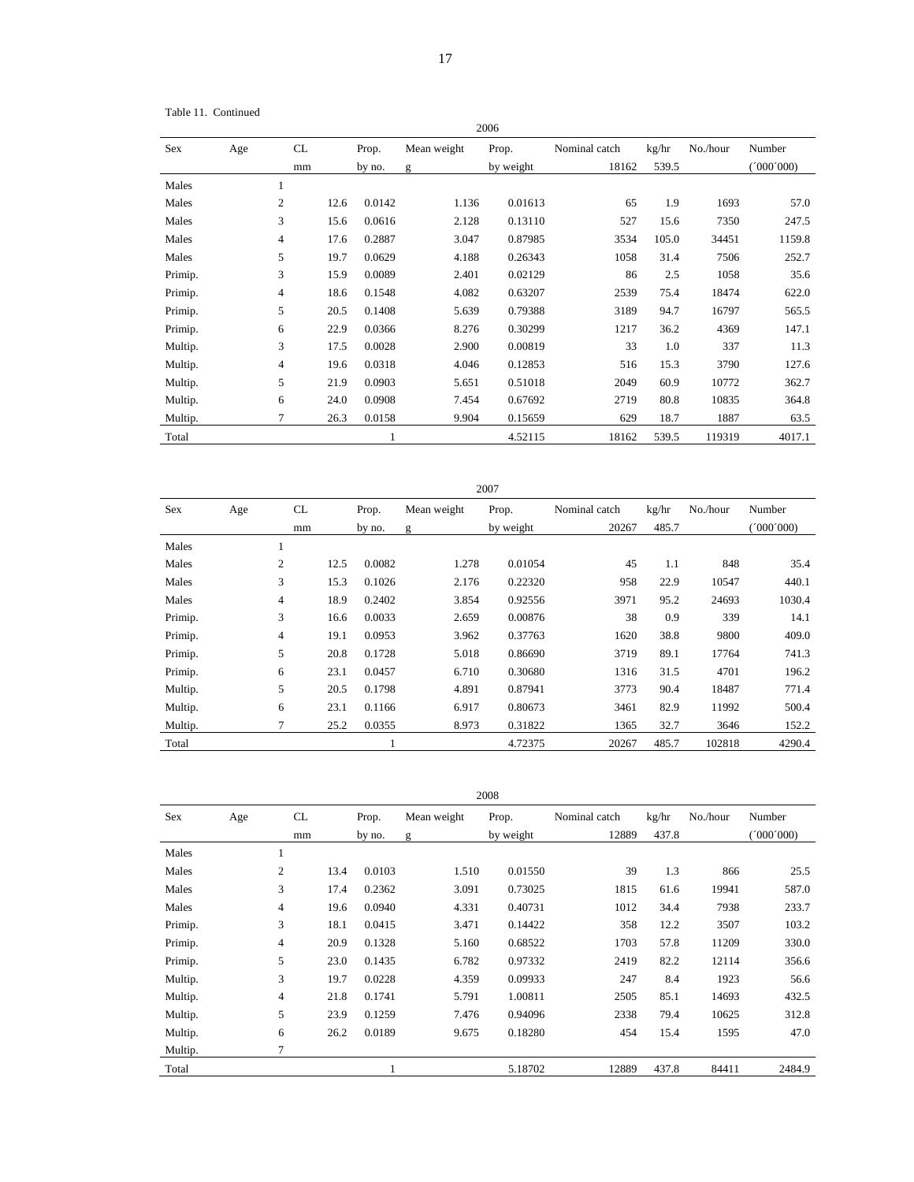Table 11. Continued

| 2006    |                |    |      |        |                  |           |               |       |          |          |  |  |
|---------|----------------|----|------|--------|------------------|-----------|---------------|-------|----------|----------|--|--|
| Sex     | Age            | CL |      | Prop.  | Mean weight      | Prop.     | Nominal catch | kg/hr | No./hour | Number   |  |  |
|         |                | mm |      | by no. | g                | by weight | 18162         | 539.5 |          | '000'000 |  |  |
| Males   |                |    |      |        |                  |           |               |       |          |          |  |  |
| Males   | $\overline{c}$ |    | 12.6 | 0.0142 | 1.136<br>0.01613 |           | 65            | 1.9   | 1693     | 57.0     |  |  |
| Males   | 3              |    | 15.6 | 0.0616 | 2.128            | 0.13110   | 527           | 15.6  | 7350     | 247.5    |  |  |
| Males   | 4              |    | 17.6 | 0.2887 | 3.047            | 0.87985   | 3534          | 105.0 | 34451    | 1159.8   |  |  |
| Males   | 5              |    | 19.7 | 0.0629 | 4.188            | 0.26343   | 1058          | 31.4  | 7506     | 252.7    |  |  |
| Primip. | 3              |    | 15.9 | 0.0089 | 2.401            | 0.02129   | 86            | 2.5   | 1058     | 35.6     |  |  |
| Primip. | 4              |    | 18.6 | 0.1548 | 4.082            | 0.63207   | 2539          | 75.4  | 18474    | 622.0    |  |  |
| Primip. | 5              |    | 20.5 | 0.1408 | 5.639            | 0.79388   | 3189          | 94.7  | 16797    | 565.5    |  |  |
| Primip. | 6              |    | 22.9 | 0.0366 | 8.276            | 0.30299   | 1217          | 36.2  | 4369     | 147.1    |  |  |
| Multip. | 3              |    | 17.5 | 0.0028 | 2.900            | 0.00819   | 33            | 1.0   | 337      | 11.3     |  |  |
| Multip. | 4              |    | 19.6 | 0.0318 | 4.046            | 0.12853   | 516           | 15.3  | 3790     | 127.6    |  |  |
| Multip. | 5              |    | 21.9 | 0.0903 | 5.651            | 0.51018   | 2049          | 60.9  | 10772    | 362.7    |  |  |
| Multip. | 6              |    | 24.0 | 0.0908 | 7.454            | 0.67692   | 2719          | 80.8  | 10835    | 364.8    |  |  |
| Multip. | 7              |    | 26.3 | 0.0158 | 9.904            | 0.15659   | 629           | 18.7  | 1887     | 63.5     |  |  |
| Total   |                |    |      | 1      |                  | 4.52115   | 18162         | 539.5 | 119319   | 4017.1   |  |  |

| 2007    |     |    |      |        |              |           |               |       |          |          |
|---------|-----|----|------|--------|--------------|-----------|---------------|-------|----------|----------|
| Sex     | Age | CL |      | Prop.  | Mean weight  | Prop.     | Nominal catch | kg/hr | No./hour | Number   |
|         |     | mm |      | by no. | $\mathbf{g}$ | by weight | 20267         | 485.7 |          | '000'000 |
| Males   |     |    |      |        |              |           |               |       |          |          |
| Males   |     | 2  | 12.5 | 0.0082 | 1.278        | 0.01054   | 45            | 1.1   | 848      | 35.4     |
| Males   |     | 3  | 15.3 | 0.1026 | 2.176        | 0.22320   | 958           | 22.9  | 10547    | 440.1    |
| Males   |     | 4  | 18.9 | 0.2402 | 3.854        | 0.92556   | 3971          | 95.2  | 24693    | 1030.4   |
| Primip. |     | 3  | 16.6 | 0.0033 | 2.659        | 0.00876   | 38            | 0.9   | 339      | 14.1     |
| Primip. |     | 4  | 19.1 | 0.0953 | 3.962        | 0.37763   | 1620          | 38.8  | 9800     | 409.0    |
| Primip. |     | 5  | 20.8 | 0.1728 | 5.018        | 0.86690   | 3719          | 89.1  | 17764    | 741.3    |
| Primip. |     | 6  | 23.1 | 0.0457 | 6.710        | 0.30680   | 1316          | 31.5  | 4701     | 196.2    |
| Multip. |     | 5  | 20.5 | 0.1798 | 4.891        | 0.87941   | 3773          | 90.4  | 18487    | 771.4    |
| Multip. |     | 6  | 23.1 | 0.1166 | 6.917        | 0.80673   | 3461          | 82.9  | 11992    | 500.4    |
| Multip. |     |    | 25.2 | 0.0355 | 8.973        | 0.31822   | 1365          | 32.7  | 3646     | 152.2    |
| Total   |     |    |      | -1     |              | 4.72375   | 20267         | 485.7 | 102818   | 4290.4   |

|         | 2008           |      |        |             |           |               |       |          |           |  |  |  |  |
|---------|----------------|------|--------|-------------|-----------|---------------|-------|----------|-----------|--|--|--|--|
| Sex     | Age            | CL   | Prop.  | Mean weight | Prop.     | Nominal catch | kg/hr | No./hour | Number    |  |  |  |  |
|         |                | mm   | by no. | g           | by weight | 12889         | 437.8 |          | (000'000) |  |  |  |  |
| Males   |                |      |        |             |           |               |       |          |           |  |  |  |  |
| Males   | $\overline{2}$ | 13.4 | 0.0103 | 1.510       | 0.01550   | 39            | 1.3   | 866      | 25.5      |  |  |  |  |
| Males   | 3              | 17.4 | 0.2362 | 3.091       | 0.73025   | 1815          | 61.6  | 19941    | 587.0     |  |  |  |  |
| Males   | 4              | 19.6 | 0.0940 | 4.331       | 0.40731   | 1012          | 34.4  | 7938     | 233.7     |  |  |  |  |
| Primip. | 3              | 18.1 | 0.0415 | 3.471       | 0.14422   | 358           | 12.2  | 3507     | 103.2     |  |  |  |  |
| Primip. | 4              | 20.9 | 0.1328 | 5.160       | 0.68522   | 1703          | 57.8  | 11209    | 330.0     |  |  |  |  |
| Primip. | 5              | 23.0 | 0.1435 | 6.782       | 0.97332   | 2419          | 82.2  | 12114    | 356.6     |  |  |  |  |
| Multip. | 3              | 19.7 | 0.0228 | 4.359       | 0.09933   | 247           | 8.4   | 1923     | 56.6      |  |  |  |  |
| Multip. | 4              | 21.8 | 0.1741 | 5.791       | 1.00811   | 2505          | 85.1  | 14693    | 432.5     |  |  |  |  |
| Multip. | 5              | 23.9 | 0.1259 | 7.476       | 0.94096   | 2338          | 79.4  | 10625    | 312.8     |  |  |  |  |
| Multip. | 6              | 26.2 | 0.0189 | 9.675       | 0.18280   | 454           | 15.4  | 1595     | 47.0      |  |  |  |  |
| Multip. | $\overline{7}$ |      |        |             |           |               |       |          |           |  |  |  |  |
| Total   |                |      |        |             | 5.18702   | 12889         | 437.8 | 84411    | 2484.9    |  |  |  |  |

2007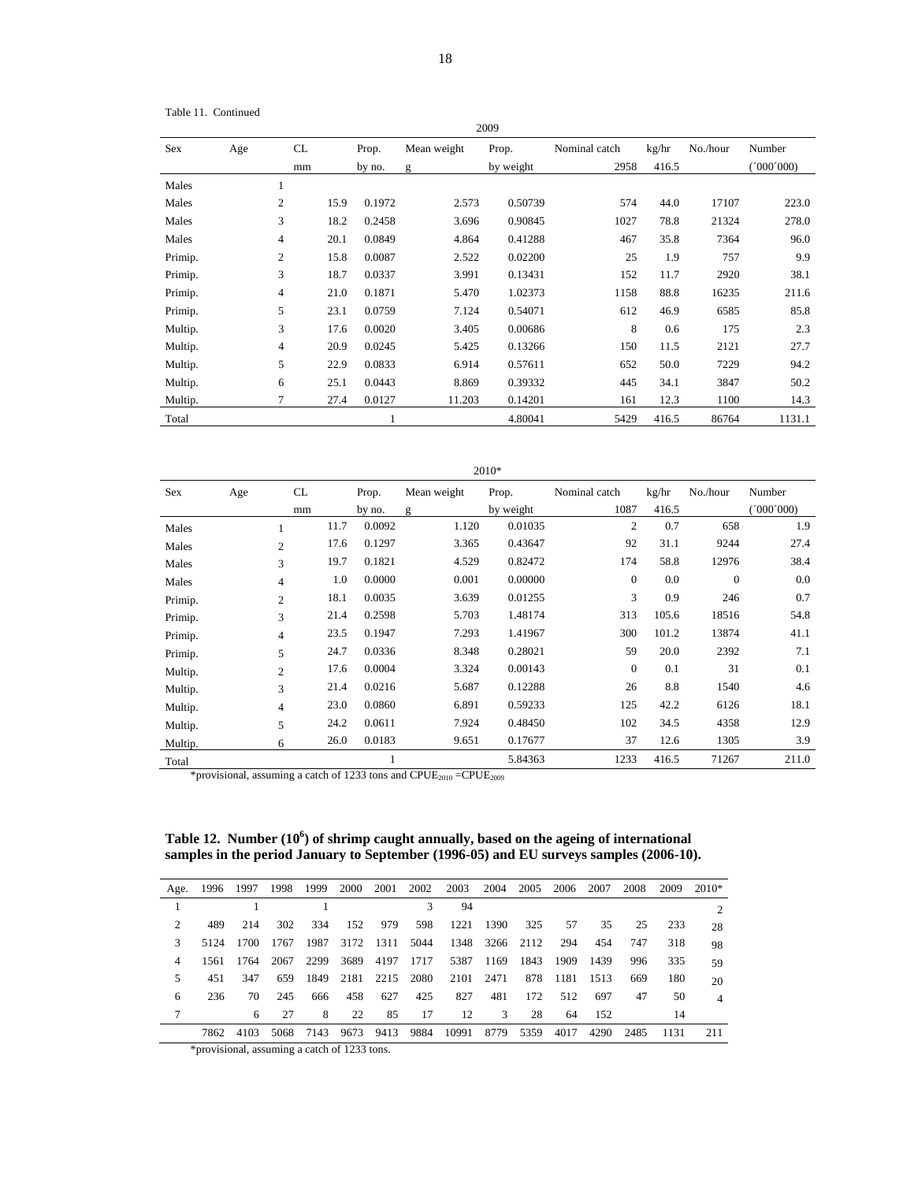Table 11. Continued

| 2009       |                        |                                  |        |                  |             |           |               |       |          |           |  |  |  |
|------------|------------------------|----------------------------------|--------|------------------|-------------|-----------|---------------|-------|----------|-----------|--|--|--|
| <b>Sex</b> | Age                    | CL                               |        | Prop.            | Mean weight | Prop.     | Nominal catch | kg/hr | No./hour | Number    |  |  |  |
|            |                        | mm                               |        | by no.           | g           | by weight | 2958          | 416.5 |          | (1000000) |  |  |  |
| Males      | 1                      |                                  |        |                  |             |           |               |       |          |           |  |  |  |
| Males      |                        | $\overline{2}$<br>15.9<br>0.1972 |        | 2.573<br>0.50739 |             | 574       | 44.0          | 17107 | 223.0    |           |  |  |  |
| Males      | 3<br>18.2              |                                  | 0.2458 | 3.696            | 0.90845     | 1027      | 78.8          | 21324 | 278.0    |           |  |  |  |
| Males      | $\overline{4}$<br>20.1 |                                  | 0.0849 | 4.864            | 0.41288     | 467       | 35.8          | 7364  | 96.0     |           |  |  |  |
| Primip.    | $\mathfrak{2}$         |                                  | 15.8   | 0.0087           | 2.522       | 0.02200   | 25            | 1.9   | 757      | 9.9       |  |  |  |
| Primip.    | 3                      |                                  | 18.7   | 0.0337           | 3.991       | 0.13431   | 152           | 11.7  | 2920     | 38.1      |  |  |  |
| Primip.    | $\overline{4}$         |                                  | 21.0   | 0.1871           | 5.470       | 1.02373   | 1158          | 88.8  | 16235    | 211.6     |  |  |  |
| Primip.    | 5                      |                                  | 23.1   | 0.0759           | 7.124       | 0.54071   | 612           | 46.9  | 6585     | 85.8      |  |  |  |
| Multip.    | 3                      |                                  | 17.6   | 0.0020           | 3.405       | 0.00686   | 8             | 0.6   | 175      | 2.3       |  |  |  |
| Multip.    | 4                      |                                  | 20.9   | 0.0245           | 5.425       | 0.13266   | 150           | 11.5  | 2121     | 27.7      |  |  |  |
| Multip.    |                        | 5<br>22.9<br>0.0833              |        |                  | 6.914       | 0.57611   | 652           | 50.0  | 7229     | 94.2      |  |  |  |
| Multip.    |                        | 6<br>25.1<br>0.0443              |        | 8.869            | 0.39332     | 445       | 34.1          | 3847  | 50.2     |           |  |  |  |
| Multip.    | $\overline{7}$         |                                  | 27.4   | 0.0127           | 11.203      | 0.14201   | 161           | 12.3  | 1100     | 14.3      |  |  |  |
| Total      |                        |                                  |        | 1                |             | 4.80041   | 5429          | 416.5 | 86764    | 1131.1    |  |  |  |

|         | 2010* |                |                                    |        |             |           |               |       |                |           |  |  |  |
|---------|-------|----------------|------------------------------------|--------|-------------|-----------|---------------|-------|----------------|-----------|--|--|--|
| Sex     | Age   | CL.            |                                    | Prop.  | Mean weight | Prop.     | Nominal catch | kg/hr | No./hour       | Number    |  |  |  |
|         |       | mm             |                                    | by no. | g           | by weight | 1087          | 416.5 |                | (1000000) |  |  |  |
| Males   |       |                | 11.7                               | 0.0092 | 1.120       | 0.01035   | 2             | 0.7   | 658            | 1.9       |  |  |  |
| Males   |       | $\overline{c}$ | 17.6                               | 0.1297 | 3.365       | 0.43647   | 92            | 31.1  | 9244           | 27.4      |  |  |  |
| Males   |       | 3              | 19.7<br>0.1821<br>0.82472<br>4.529 |        | 174         | 58.8      | 12976         | 38.4  |                |           |  |  |  |
| Males   |       | 4              | 1.0                                | 0.0000 | 0.001       | 0.00000   | $\mathbf{0}$  | 0.0   | $\overline{0}$ | 0.0       |  |  |  |
| Primip. |       | $\overline{c}$ | 18.1                               | 0.0035 | 3.639       | 0.01255   | 3             | 0.9   | 246            | 0.7       |  |  |  |
| Primip. |       | 3              | 21.4                               | 0.2598 | 5.703       | 1.48174   | 313           | 105.6 | 18516          | 54.8      |  |  |  |
| Primip. |       | 4              | 23.5                               | 0.1947 | 7.293       | 1.41967   | 300           | 101.2 | 13874          | 41.1      |  |  |  |
| Primip. |       | 5              | 24.7                               | 0.0336 | 8.348       | 0.28021   | 59            | 20.0  | 2392           | 7.1       |  |  |  |
| Multip. |       | $\overline{c}$ | 17.6                               | 0.0004 | 3.324       | 0.00143   | $\theta$      | 0.1   | 31             | 0.1       |  |  |  |
| Multip. |       | 3              | 21.4                               | 0.0216 | 5.687       | 0.12288   | 26            | 8.8   | 1540           | 4.6       |  |  |  |
| Multip. |       | $\overline{4}$ | 23.0                               | 0.0860 | 6.891       | 0.59233   | 125           | 42.2  | 6126           | 18.1      |  |  |  |
| Multip. | 5     |                | 24.2                               | 0.0611 | 7.924       | 0.48450   | 102           | 34.5  | 4358           | 12.9      |  |  |  |
| Multip. |       | 6              | 26.0                               | 0.0183 | 9.651       | 0.17677   | 37            | 12.6  | 1305           | 3.9       |  |  |  |
| Total   |       |                |                                    | 1      |             | 5.84363   | 1233          | 416.5 | 71267          | 211.0     |  |  |  |

\*provisional, assuming a catch of 1233 tons and  $CPUE_{2010} = CPUE_{2009}$ 

Table 12. Number (10<sup>6</sup>) of shrimp caught annually, based on the ageing of international **samples in the period January to September (1996-05) and EU surveys samples (2006-10).** 

| Age.           | 1996 1997 |      | 1998 | 1999 | 2000 | 2001 | 2002 | 2003  | 2004      | 2005 | 2006 | 2007 | 2008 | 2009 | $2010*$ |
|----------------|-----------|------|------|------|------|------|------|-------|-----------|------|------|------|------|------|---------|
|                |           |      |      |      |      |      | 3    | 94    |           |      |      |      |      |      |         |
| $\mathfrak{D}$ | 489       | 214  | 302  | 334  | 152  | 979  | 598  | 1221  | 1390      | 325  | 57   | 35   | 25   | 233  | 28      |
| 3              | 5124      | 1700 | 1767 | 1987 | 3172 | 1311 | 5044 |       | 1348 3266 | 2112 | 294  | 454  | 747  | 318  | 98      |
| 4              | 1561      | 1764 | 2067 | 2299 | 3689 | 4197 | 1717 | 5387  | 1169      | 1843 | 1909 | 1439 | 996  | 335  | 59      |
| 5.             | 451       | 347  | 659  | 1849 | 2181 | 2215 | 2080 | 2101  | 2471      | 878  | 1181 | 1513 | 669  | 180  | 20      |
| 6              | 236       | 70   | 245  | 666  | 458  | 627  | 425  | 827   | 481       | 172  | 512  | 697  | 47   | 50   | 4       |
|                |           | 6    | 27   | 8    | 22   | 85   | 17   | 12    | 3         | 28   | 64   | 152  |      | 14   |         |
|                | 7862      | 4103 | 5068 | 7143 | 9673 | 9413 | 9884 | 10991 | 8779      | 5359 | 4017 | 4290 | 2485 | 1131 | 211     |

\*provisional, assuming a catch of 1233 tons.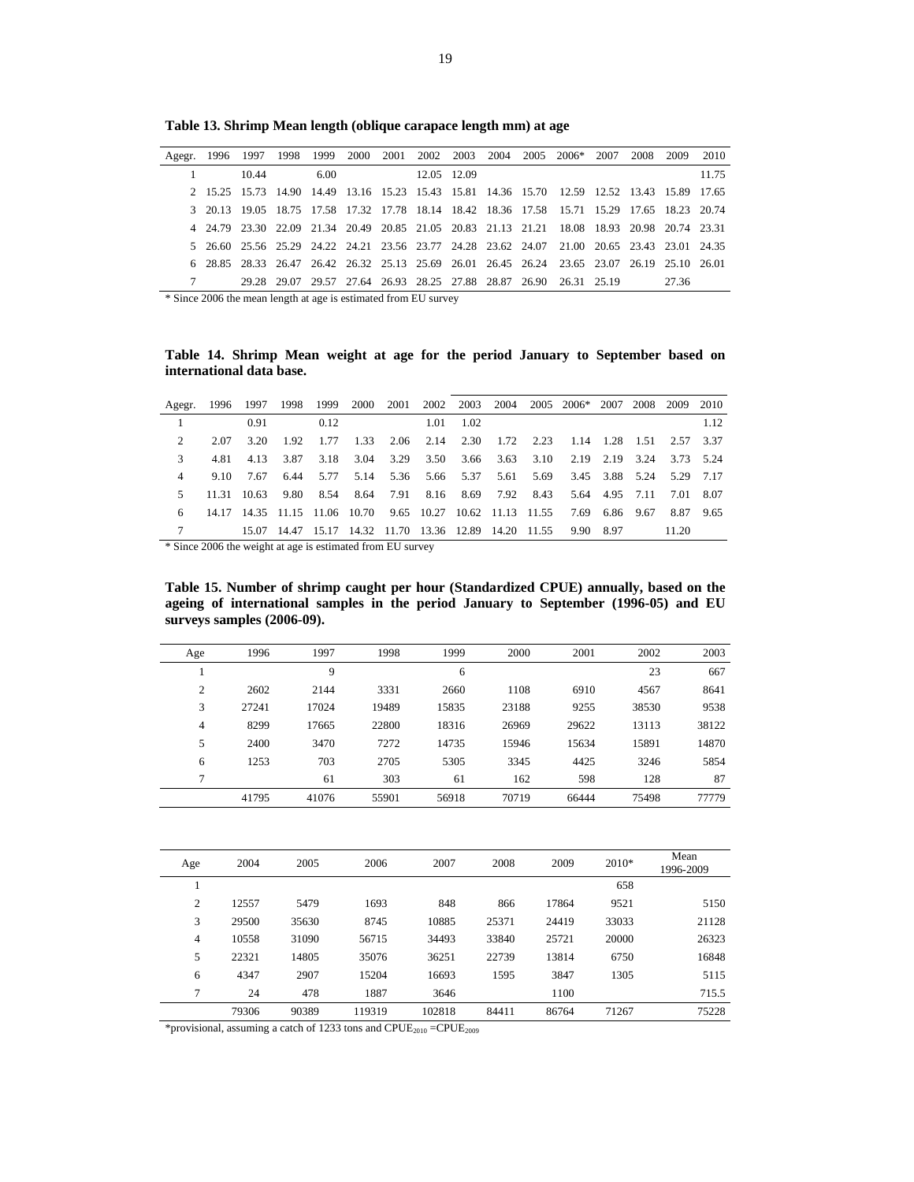|  |       |      |  |             |  | Agegr. 1996 1997 1998 1999 2000 2001 2002 2003 2004 2005 2006* 2007                         | 2008 | 2009 2010 |       |
|--|-------|------|--|-------------|--|---------------------------------------------------------------------------------------------|------|-----------|-------|
|  | 10.44 | 6.00 |  | 12.05 12.09 |  |                                                                                             |      |           | 11.75 |
|  |       |      |  |             |  | 2 15.25 15.73 14.90 14.49 13.16 15.23 15.43 15.81 14.36 15.70 12.59 12.52 13.43 15.89 17.65 |      |           |       |
|  |       |      |  |             |  | 3 20.13 19.05 18.75 17.58 17.32 17.78 18.14 18.42 18.36 17.58 15.71 15.29 17.65 18.23 20.74 |      |           |       |
|  |       |      |  |             |  | 4 24.79 23.30 22.09 21.34 20.49 20.85 21.05 20.83 21.13 21.21 18.08 18.93 20.98 20.74 23.31 |      |           |       |
|  |       |      |  |             |  | 5 26.60 25.56 25.29 24.22 24.21 23.56 23.77 24.28 23.62 24.07 21.00 20.65 23.43 23.01 24.35 |      |           |       |
|  |       |      |  |             |  | 6 28.85 28.33 26.47 26.42 26.32 25.13 25.69 26.01 26.45 26.24 23.65 23.07 26.19 25.10 26.01 |      |           |       |
|  |       |      |  |             |  | 29.28 29.07 29.57 27.64 26.93 28.25 27.88 28.87 26.90 26.31 25.19 27.36                     |      |           |       |

**Table 13. Shrimp Mean length (oblique carapace length mm) at age** 

\* Since 2006 the mean length at age is estimated from EU survey

**Table 14. Shrimp Mean weight at age for the period January to September based on international data base.** 

|    |      |             |      |           |                |  |                   |  | Agegr. 1996 1997 1998 1999 2000 2001 2002 2003 2004 2005 2006* 2007 2008 2009 2010  |  |       |      |
|----|------|-------------|------|-----------|----------------|--|-------------------|--|-------------------------------------------------------------------------------------|--|-------|------|
|    |      | 0.91        |      | 0.12      |                |  | $1.01 \quad 1.02$ |  |                                                                                     |  |       | 1.12 |
|    | 2.07 | 3.20        |      | 1.92 1.77 |                |  |                   |  | 1.33 2.06 2.14 2.30 1.72 2.23 1.14 1.28 1.51 2.57 3.37                              |  |       |      |
|    | 481  | 4.13        |      |           | 3.87 3.18 3.04 |  |                   |  | 3.29 3.50 3.66 3.63 3.10 2.19 2.19 3.24 3.73 5.24                                   |  |       |      |
|    |      | 9.10 7.67   |      |           |                |  |                   |  | 6.44 5.77 5.14 5.36 5.66 5.37 5.61 5.69 3.45 3.88 5.24 5.29 7.17                    |  |       |      |
| 5. |      | 11.31 10.63 | 9.80 |           |                |  |                   |  | 8.54 8.64 7.91 8.16 8.69 7.92 8.43 5.64 4.95 7.11 7.01 8.07                         |  |       |      |
|    |      |             |      |           |                |  |                   |  | 14.17 14.35 11.15 11.06 10.70 9.65 10.27 10.62 11.13 11.55 7.69 6.86 9.67 8.87 9.65 |  |       |      |
|    |      |             |      |           |                |  |                   |  | 15.07 14.47 15.17 14.32 11.70 13.36 12.89 14.20 11.55 9.90 8.97                     |  | 11.20 |      |

\* Since 2006 the weight at age is estimated from EU survey

**Table 15. Number of shrimp caught per hour (Standardized CPUE) annually, based on the ageing of international samples in the period January to September (1996-05) and EU surveys samples (2006-09).** 

| 2003  | 2002  | 2001  | 2000  | 1999  | 1998  | 1997  | 1996  | Age            |
|-------|-------|-------|-------|-------|-------|-------|-------|----------------|
| 667   | 23    |       |       | 6     |       | 9     |       |                |
| 8641  | 4567  | 6910  | 1108  | 2660  | 3331  | 2144  | 2602  | $\overline{c}$ |
| 9538  | 38530 | 9255  | 23188 | 15835 | 19489 | 17024 | 27241 | 3              |
| 38122 | 13113 | 29622 | 26969 | 18316 | 22800 | 17665 | 8299  | 4              |
| 14870 | 15891 | 15634 | 15946 | 14735 | 7272  | 3470  | 2400  | 5              |
| 5854  | 3246  | 4425  | 3345  | 5305  | 2705  | 703   | 1253  | 6              |
| 87    | 128   | 598   | 162   | 61    | 303   | 61    |       | ⇁              |
| 77779 | 75498 | 66444 | 70719 | 56918 | 55901 | 41076 | 41795 |                |

| Age            | 2004  | 2005  | 2006   | 2007   | 2008  | 2009  | $2010*$ | Mean<br>1996-2009 |
|----------------|-------|-------|--------|--------|-------|-------|---------|-------------------|
|                |       |       |        |        |       |       | 658     |                   |
| 2              | 12557 | 5479  | 1693   | 848    | 866   | 17864 | 9521    | 5150              |
| 3              | 29500 | 35630 | 8745   | 10885  | 25371 | 24419 | 33033   | 21128             |
| $\overline{4}$ | 10558 | 31090 | 56715  | 34493  | 33840 | 25721 | 20000   | 26323             |
| 5              | 22321 | 14805 | 35076  | 36251  | 22739 | 13814 | 6750    | 16848             |
| 6              | 4347  | 2907  | 15204  | 16693  | 1595  | 3847  | 1305    | 5115              |
| 7              | 24    | 478   | 1887   | 3646   |       | 1100  |         | 715.5             |
|                | 79306 | 90389 | 119319 | 102818 | 84411 | 86764 | 71267   | 75228             |

\*provisional, assuming a catch of 1233 tons and  $\text{CPUE}_{2010} = \text{CPUE}_{2009}$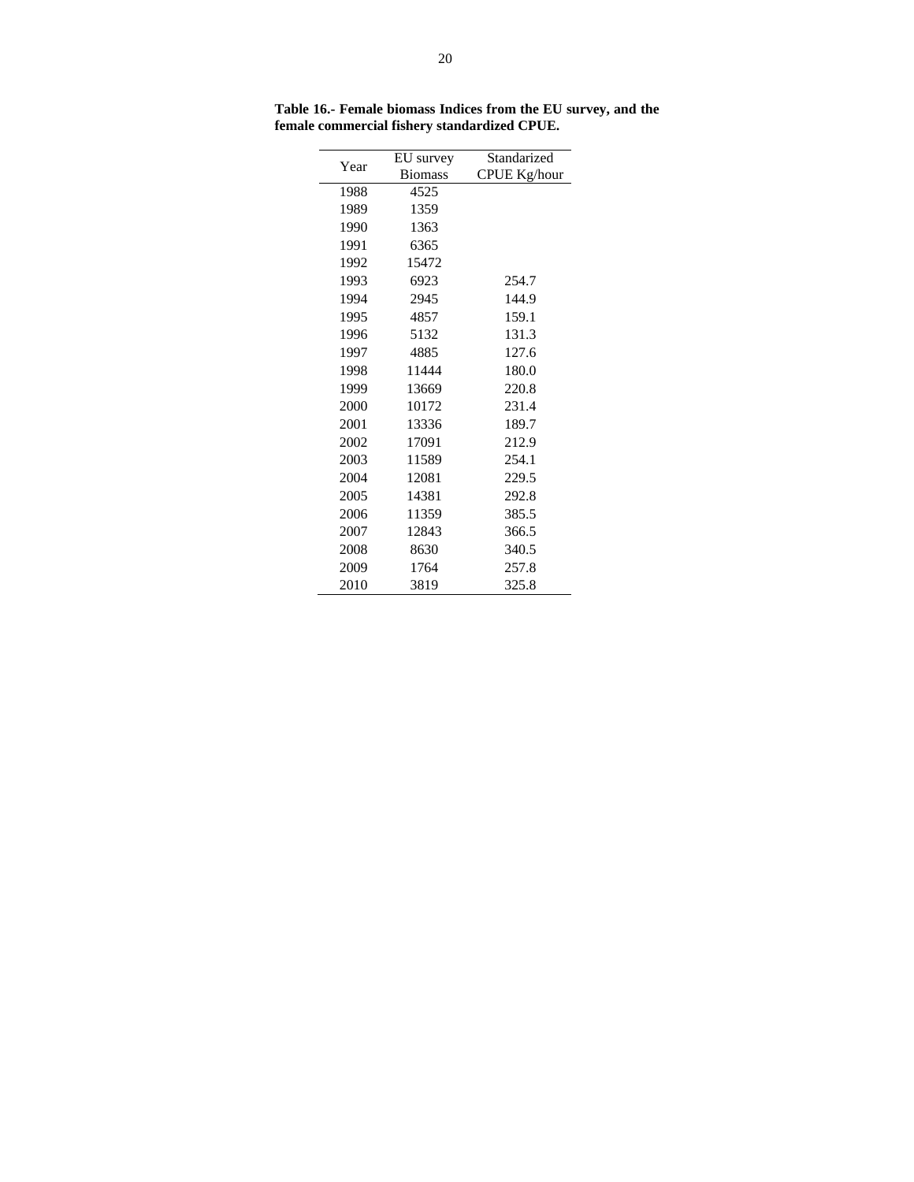| Year | EU survey      | Standarized  |  |  |  |  |
|------|----------------|--------------|--|--|--|--|
|      | <b>Biomass</b> | CPUE Kg/hour |  |  |  |  |
| 1988 | 4525           |              |  |  |  |  |
| 1989 | 1359           |              |  |  |  |  |
| 1990 | 1363           |              |  |  |  |  |
| 1991 | 6365           |              |  |  |  |  |
| 1992 | 15472          |              |  |  |  |  |
| 1993 | 6923           | 254.7        |  |  |  |  |
| 1994 | 2945           | 144.9        |  |  |  |  |
| 1995 | 4857           | 159.1        |  |  |  |  |
| 1996 | 5132           | 131.3        |  |  |  |  |
| 1997 | 4885           | 127.6        |  |  |  |  |
| 1998 | 11444          | 180.0        |  |  |  |  |
| 1999 | 13669          | 220.8        |  |  |  |  |
| 2000 | 10172          | 231.4        |  |  |  |  |
| 2001 | 13336          | 189.7        |  |  |  |  |
| 2002 | 17091          | 212.9        |  |  |  |  |
| 2003 | 11589          | 254.1        |  |  |  |  |
| 2004 | 12081          | 229.5        |  |  |  |  |
| 2005 | 14381          | 292.8        |  |  |  |  |
| 2006 | 11359          | 385.5        |  |  |  |  |
| 2007 | 12843          | 366.5        |  |  |  |  |
| 2008 | 8630           | 340.5        |  |  |  |  |
| 2009 | 1764           | 257.8        |  |  |  |  |
| 2010 | 3819           | 325.8        |  |  |  |  |

**Table 16.- Female biomass Indices from the EU survey, and the female commercial fishery standardized CPUE.**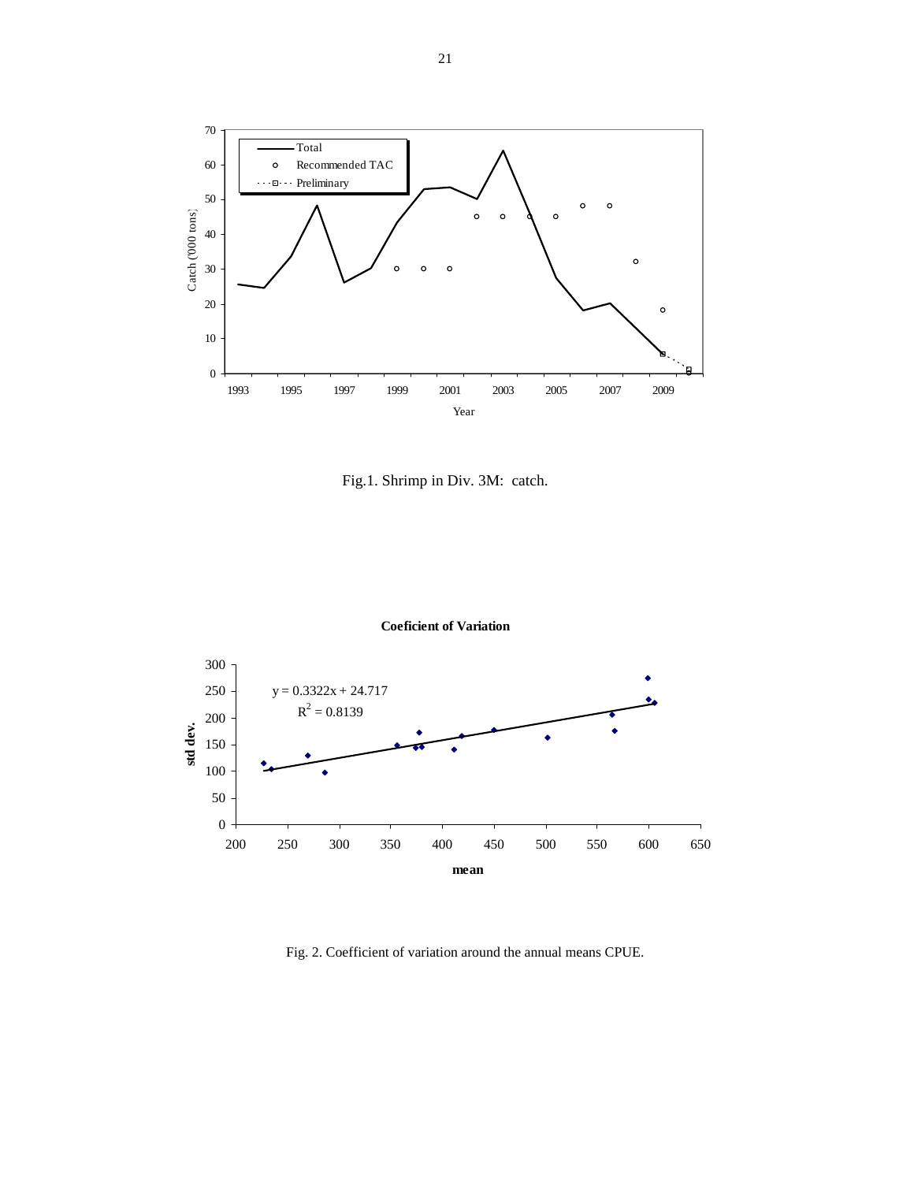

Fig.1. Shrimp in Div. 3M: catch.



**Coeficient of Variation**

Fig. 2. Coefficient of variation around the annual means CPUE.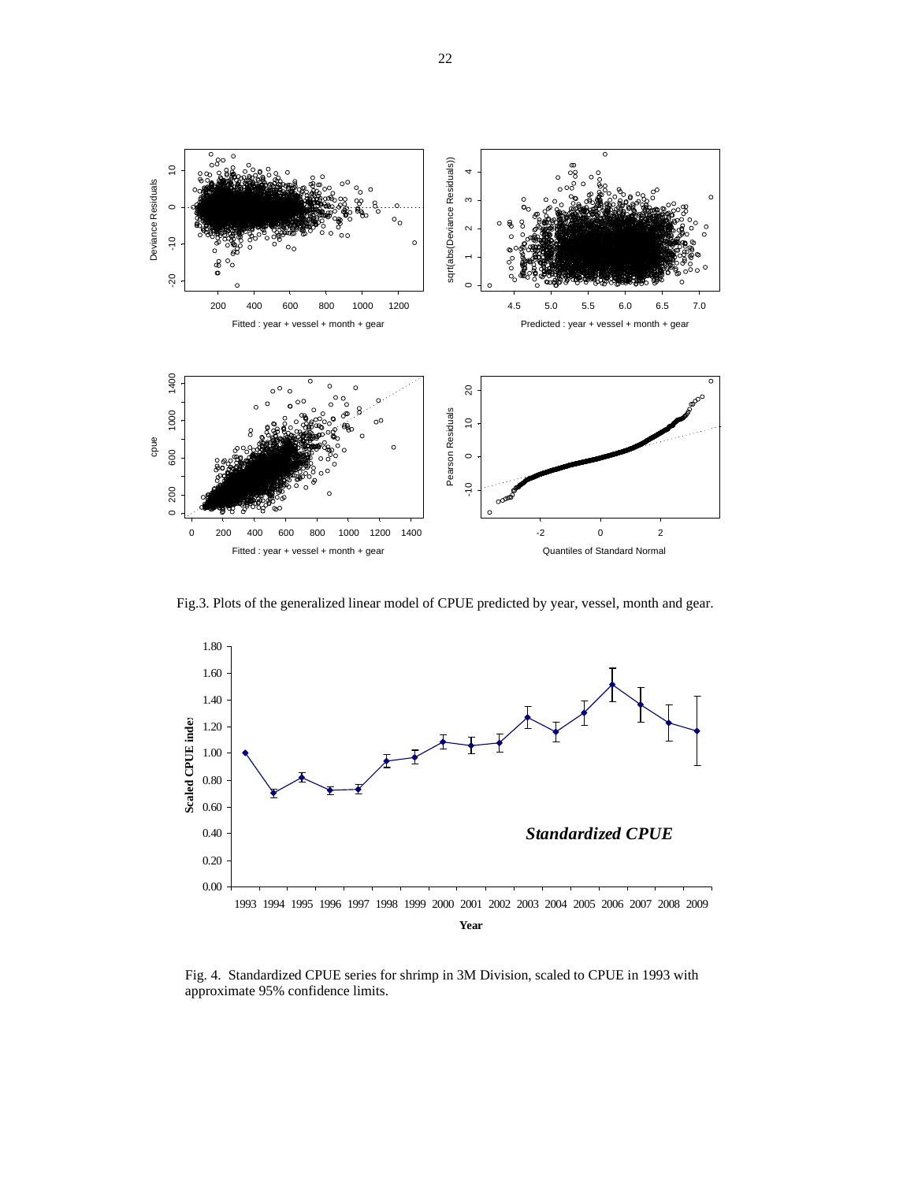

Fig.3. Plots of the generalized linear model of CPUE predicted by year, vessel, month and gear.



Fig. 4. Standardized CPUE series for shrimp in 3M Division, scaled to CPUE in 1993 with approximate 95% confidence limits.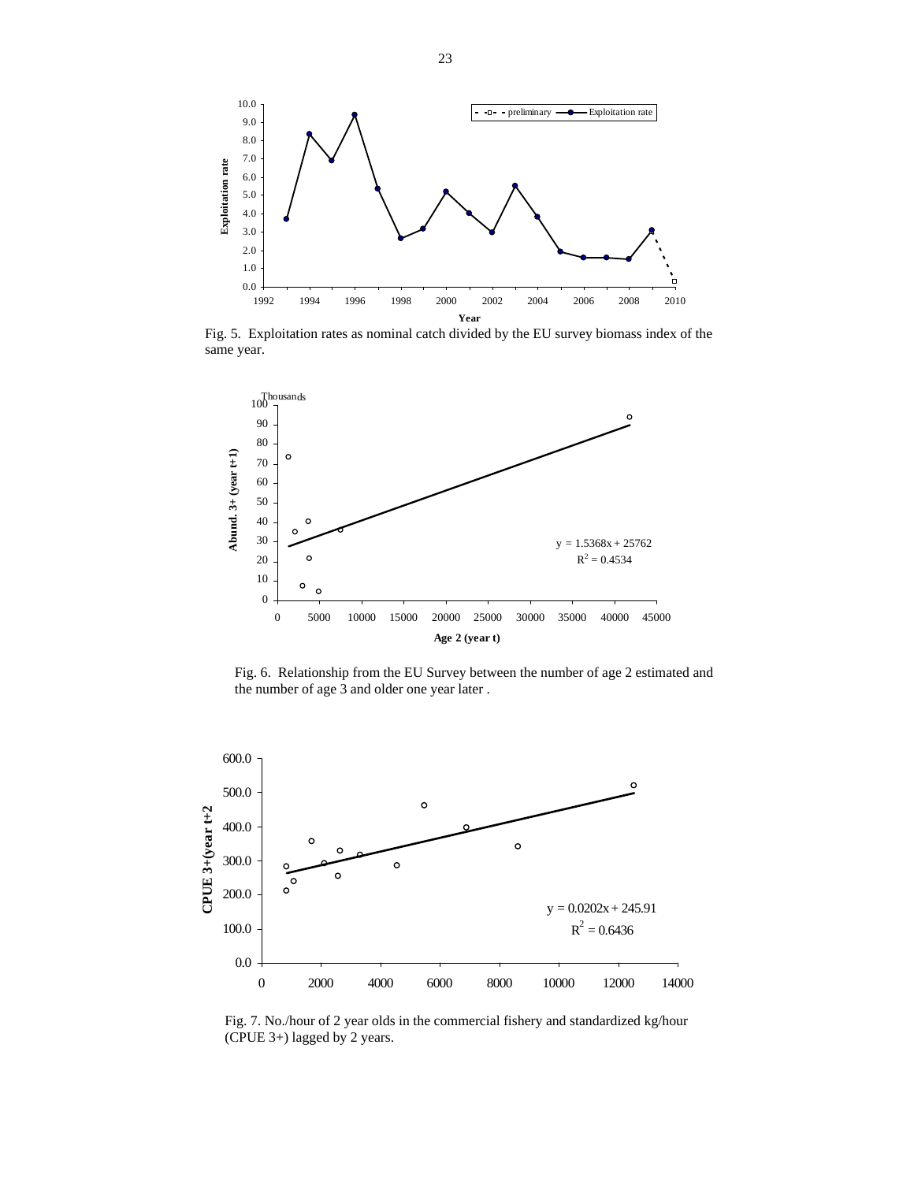

Fig. 5. Exploitation rates as nominal catch divided by the EU survey biomass index of the same year.



Fig. 6. Relationship from the EU Survey between the number of age 2 estimated and the number of age 3 and older one year later .



Fig. 7. No./hour of 2 year olds in the commercial fishery and standardized kg/hour (CPUE 3+) lagged by 2 years.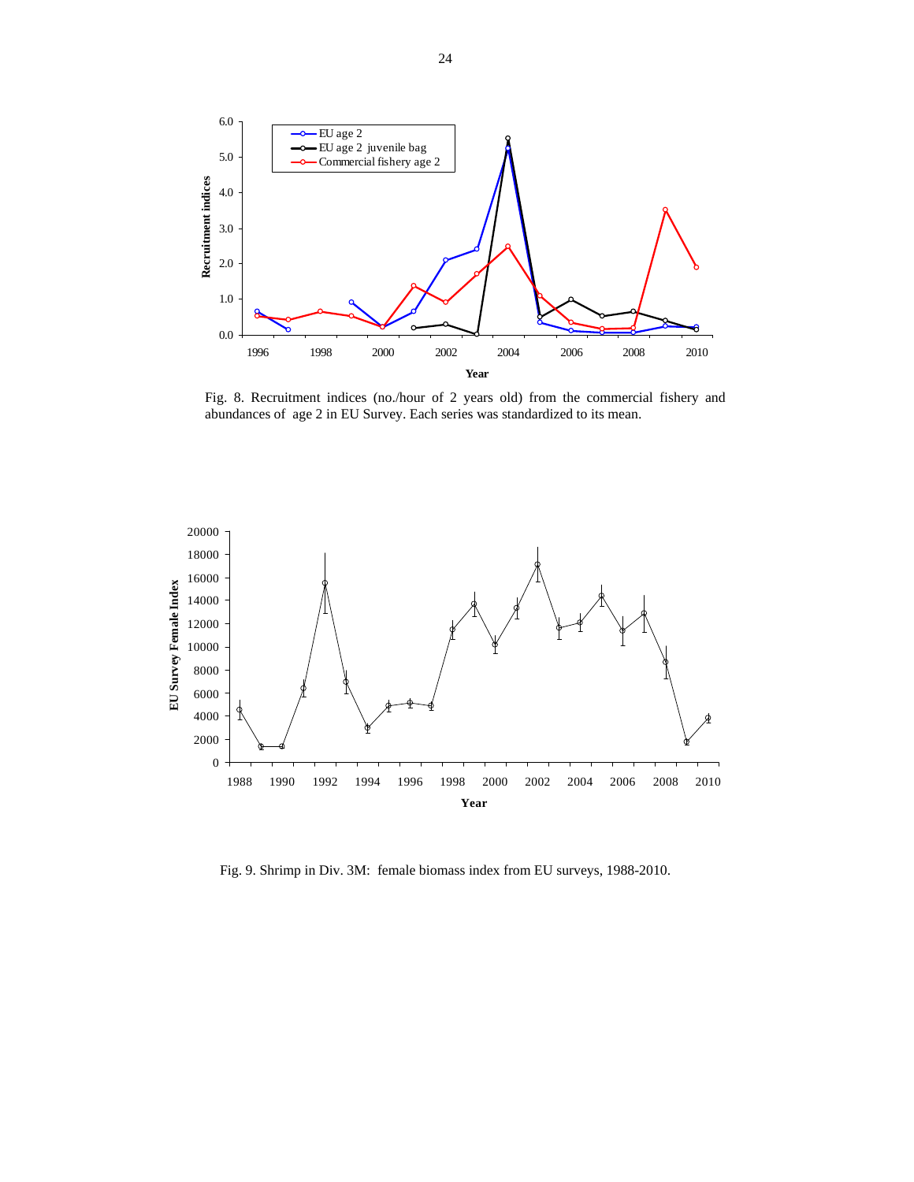

Fig. 8. Recruitment indices (no./hour of 2 years old) from the commercial fishery and abundances of age 2 in EU Survey. Each series was standardized to its mean.



Fig. 9. Shrimp in Div. 3M: female biomass index from EU surveys, 1988-2010.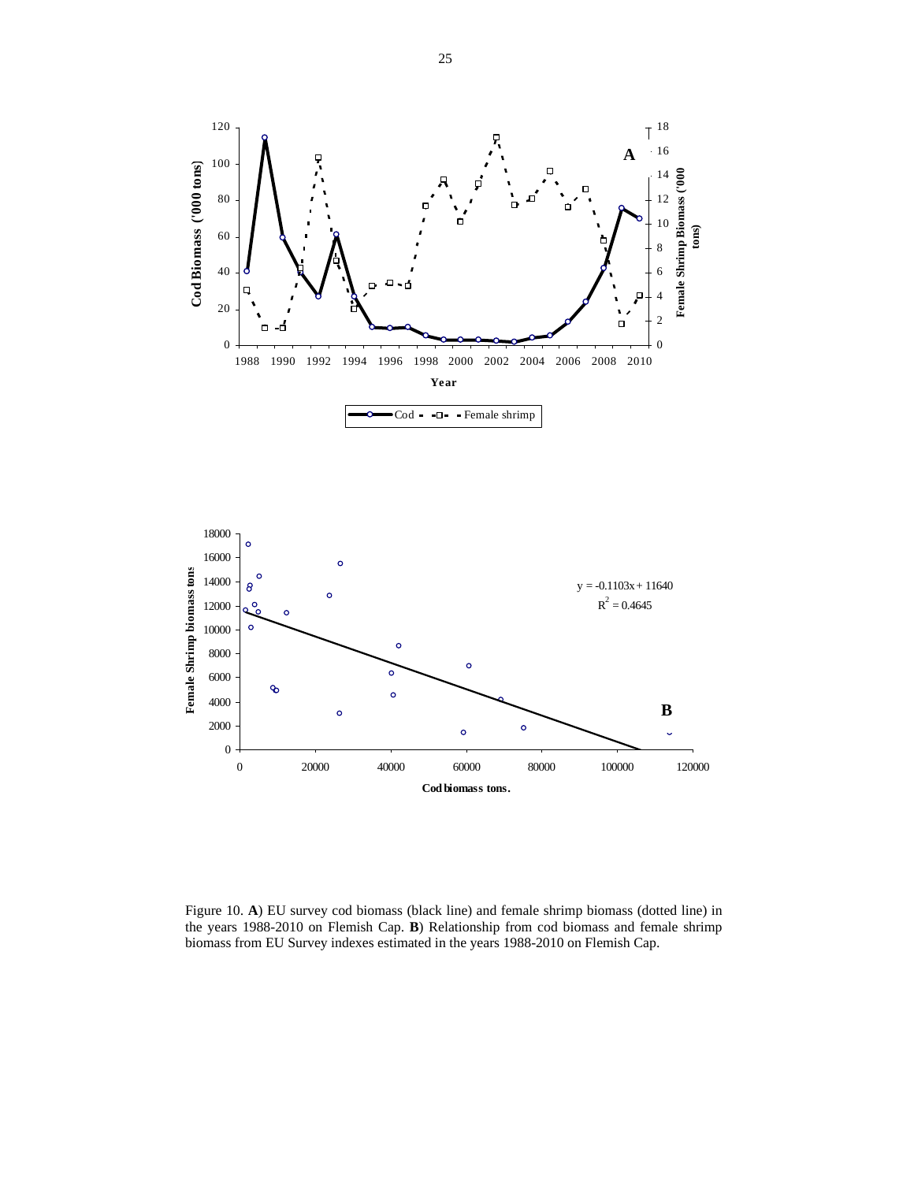



Figure 10. **A**) EU survey cod biomass (black line) and female shrimp biomass (dotted line) in the years 1988-2010 on Flemish Cap. **B**) Relationship from cod biomass and female shrimp biomass from EU Survey indexes estimated in the years 1988-2010 on Flemish Cap.